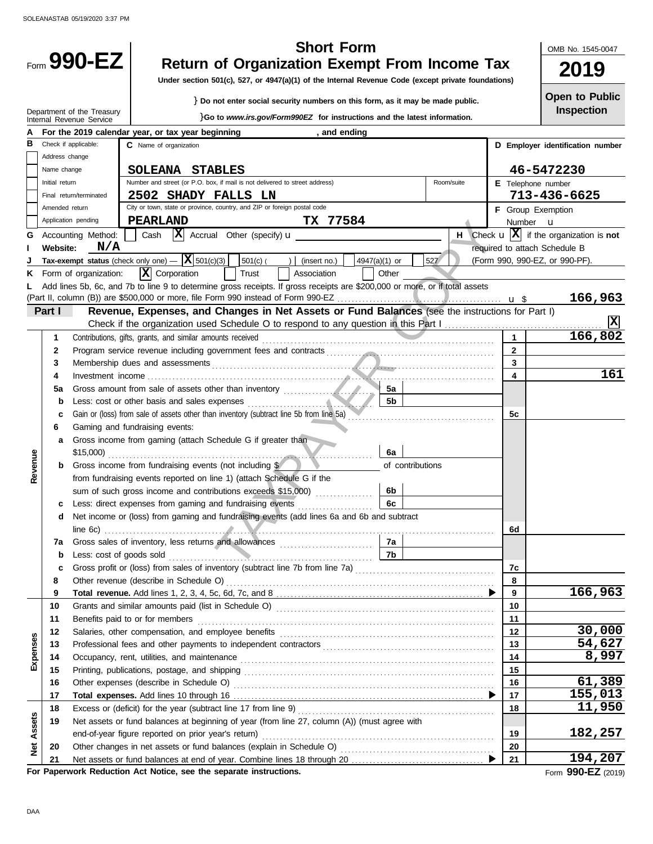|               |                               |                            | <b>Short Form</b>                                                                                                                                                                                                              |                    | OMB No. 1545-0047                                                     |
|---------------|-------------------------------|----------------------------|--------------------------------------------------------------------------------------------------------------------------------------------------------------------------------------------------------------------------------|--------------------|-----------------------------------------------------------------------|
|               |                               | Form 990-EZ                | Return of Organization Exempt From Income Tax<br>Under section 501(c), 527, or 4947(a)(1) of the Internal Revenue Code (except private foundations)                                                                            |                    | 2019                                                                  |
|               |                               |                            |                                                                                                                                                                                                                                |                    | <b>Open to Public</b>                                                 |
|               |                               | Department of the Treasury | } Do not enter social security numbers on this form, as it may be made public.                                                                                                                                                 |                    | <b>Inspection</b>                                                     |
|               |                               | Internal Revenue Service   | }Go to www.irs.gov/Form990EZ for instructions and the latest information.                                                                                                                                                      |                    |                                                                       |
|               |                               |                            | For the 2019 calendar year, or tax year beginning<br>, and ending                                                                                                                                                              |                    |                                                                       |
| в             |                               | Check if applicable:       | C Name of organization                                                                                                                                                                                                         |                    | D Employer identification number                                      |
|               | Address change                |                            |                                                                                                                                                                                                                                |                    |                                                                       |
|               | Name change<br>Initial return |                            | SOLEANA STABLES<br>Number and street (or P.O. box, if mail is not delivered to street address)<br>Room/suite                                                                                                                   |                    | 46-5472230                                                            |
|               |                               | Final return/terminated    | 2502 SHADY FALLS LN                                                                                                                                                                                                            | E Telephone number | 713-436-6625                                                          |
|               | Amended return                |                            | City or town, state or province, country, and ZIP or foreign postal code                                                                                                                                                       |                    | <b>F</b> Group Exemption                                              |
|               |                               | Application pending        | TX 77584<br>PEARLAND                                                                                                                                                                                                           | Number <b>u</b>    |                                                                       |
| G             |                               | Accounting Method:         | $ {\bf x} $<br>Accrual Other (specify) <b>u</b><br>Cash                                                                                                                                                                        |                    | <b>H</b> Check $\mathbf{u}$ $ \mathbf{X} $ if the organization is not |
|               | Website:                      | N/A                        |                                                                                                                                                                                                                                |                    | required to attach Schedule B                                         |
|               |                               |                            | Tax-exempt status (check only one) $ \mathbf{X}$ 501(c)(3)<br>527<br>$501(c)$ (<br>) $ $ (insert no.)<br>4947(a)(1) or                                                                                                         |                    | (Form 990, 990-EZ, or 990-PF).                                        |
|               |                               | Form of organization:      | $ \mathbf{X} $ Corporation<br>Trust<br>Association<br>Other                                                                                                                                                                    |                    |                                                                       |
|               |                               |                            | Add lines 5b, 6c, and 7b to line 9 to determine gross receipts. If gross receipts are \$200,000 or more, or if total assets                                                                                                    |                    |                                                                       |
|               |                               |                            |                                                                                                                                                                                                                                |                    | 166,963                                                               |
|               | Part I                        |                            | Revenue, Expenses, and Changes in Net Assets or Fund Balances (see the instructions for Part I)                                                                                                                                |                    |                                                                       |
|               |                               |                            |                                                                                                                                                                                                                                |                    |                                                                       |
|               | 1                             |                            | Contributions, gifts, grants, and similar amounts received                                                                                                                                                                     | $\mathbf{1}$       | 166,802                                                               |
|               | 2                             |                            |                                                                                                                                                                                                                                | $\mathbf{2}$       |                                                                       |
|               | 3                             |                            |                                                                                                                                                                                                                                | 3                  | 161                                                                   |
|               | 4                             |                            |                                                                                                                                                                                                                                | 4                  |                                                                       |
|               | 5a                            |                            | 5a<br>5b                                                                                                                                                                                                                       |                    |                                                                       |
|               | b<br>с                        |                            | Gain or (loss) from sale of assets other than inventory (subtract line 5b from line 5a) [[[[[[[[[[[[[[[[[[[[[                                                                                                                  | 5c                 |                                                                       |
|               | 6                             |                            | Gaming and fundraising events:                                                                                                                                                                                                 |                    |                                                                       |
|               | a                             |                            | Gross income from gaming (attach Schedule G if greater than                                                                                                                                                                    |                    |                                                                       |
|               |                               | \$15,000)                  | 6a                                                                                                                                                                                                                             |                    |                                                                       |
| Revenue       | b                             |                            | Gross income from fundraising events (not including \$<br>of contributions                                                                                                                                                     |                    |                                                                       |
|               |                               |                            | from fundraising events reported on line 1) (attach Schedule G if the                                                                                                                                                          |                    |                                                                       |
|               |                               |                            | sum of such gross income and contributions exceeds \$15,000)<br>6b<br>.                                                                                                                                                        |                    |                                                                       |
|               | c                             |                            | Less: direct expenses from gaming and fundraising events<br>6c                                                                                                                                                                 |                    |                                                                       |
|               | d                             |                            | Net income or (loss) from gaming and fundraising events (add lines 6a and 6b and subtract                                                                                                                                      |                    |                                                                       |
|               |                               |                            |                                                                                                                                                                                                                                | 6d                 |                                                                       |
|               | 7a                            |                            | 7a                                                                                                                                                                                                                             |                    |                                                                       |
|               | b                             |                            | 7b<br>Less: cost of goods sold                                                                                                                                                                                                 |                    |                                                                       |
|               | c                             |                            |                                                                                                                                                                                                                                | 7c<br>8            |                                                                       |
|               | 8<br>9                        |                            |                                                                                                                                                                                                                                | 9                  | 166,963                                                               |
|               | 10                            |                            |                                                                                                                                                                                                                                | 10                 |                                                                       |
|               | 11                            |                            |                                                                                                                                                                                                                                | 11                 |                                                                       |
|               | 12                            |                            | Salaries, other compensation, and employee benefits [11] matter content content of the compensation, and employee benefits [11] matter content of the content of the content of the content of the content of the content of t | 12                 | 30,000                                                                |
|               | 13                            |                            |                                                                                                                                                                                                                                | 13                 | 54,627                                                                |
| Expenses      | 14                            |                            |                                                                                                                                                                                                                                | 14                 | 8,997                                                                 |
|               | 15                            |                            | Printing, publications, postage, and shipping [1, 2001] [1, 2010] [1, 2010] [1, 2010] [1, 2010] [1, 2010] [1, 2010] [1, 2010] [1, 2010] [1, 2010] [1, 2010] [1, 2010] [1, 2010] [1, 2010] [1, 2010] [1, 2010] [1, 2010] [1, 20 | 15                 |                                                                       |
|               | 16                            |                            |                                                                                                                                                                                                                                | 16                 | 61,389                                                                |
|               | 17                            |                            |                                                                                                                                                                                                                                | 17                 | 155,013                                                               |
|               | 18                            |                            |                                                                                                                                                                                                                                | 18                 | 11,950                                                                |
| Assets        | 19                            |                            | Net assets or fund balances at beginning of year (from line 27, column (A)) (must agree with                                                                                                                                   |                    |                                                                       |
|               |                               |                            | end-of-year figure reported on prior year's return)                                                                                                                                                                            | 19                 | 182,257                                                               |
| $\frac{1}{2}$ | 20                            |                            |                                                                                                                                                                                                                                | 20                 |                                                                       |
|               | 21                            |                            |                                                                                                                                                                                                                                | 21                 | 194,207                                                               |

**For Paperwork Reduction Act Notice, see the separate instructions.**

Form **990-EZ** (2019)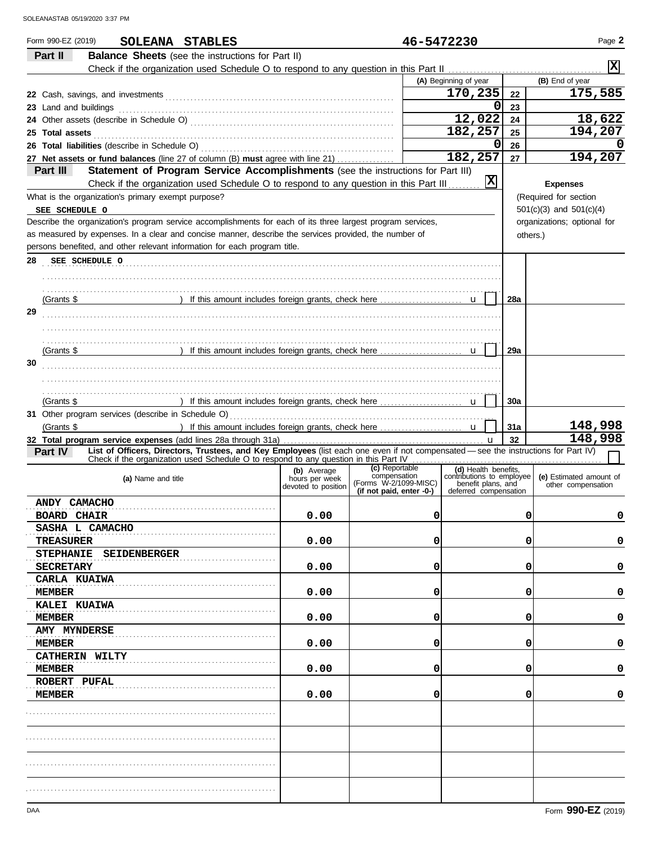| Form 990-EZ (2019)  |                                                    | SOLEANA STABLES                                                                                                                     |                                       |                                       |   | 46-5472230                                      |            | Page 2                                        |
|---------------------|----------------------------------------------------|-------------------------------------------------------------------------------------------------------------------------------------|---------------------------------------|---------------------------------------|---|-------------------------------------------------|------------|-----------------------------------------------|
| Part II             |                                                    | <b>Balance Sheets</b> (see the instructions for Part II)                                                                            |                                       |                                       |   |                                                 |            |                                               |
|                     |                                                    |                                                                                                                                     |                                       |                                       |   |                                                 |            | $ \mathbf{x} $                                |
|                     |                                                    |                                                                                                                                     |                                       |                                       |   | (A) Beginning of year                           |            | (B) End of year                               |
|                     |                                                    |                                                                                                                                     |                                       |                                       |   | 170, 235                                        | 22         | 175,585                                       |
|                     |                                                    | 23 Land and buildings <i>machines and contained and buildings</i>                                                                   |                                       |                                       |   | 0                                               | 23         |                                               |
|                     |                                                    |                                                                                                                                     |                                       |                                       |   | 12,022                                          | 24         | 18,622                                        |
|                     |                                                    | 25 Total assets <b>25 Total</b> assets <b>25 Total assets</b>                                                                       |                                       |                                       |   | 182,257                                         | 25         | 194,207                                       |
|                     |                                                    |                                                                                                                                     |                                       |                                       |   | 0                                               | 26         | 0                                             |
|                     |                                                    | 27 Net assets or fund balances (line 27 of column (B) must agree with line 21)                                                      |                                       |                                       |   | 182,257                                         | 27         | 194,207                                       |
| Part III            |                                                    | Statement of Program Service Accomplishments (see the instructions for Part III)                                                    |                                       |                                       |   |                                                 |            |                                               |
|                     |                                                    | Check if the organization used Schedule O to respond to any question in this Part III                                               |                                       |                                       |   | $ \mathbf{x} $                                  |            | <b>Expenses</b>                               |
|                     | What is the organization's primary exempt purpose? |                                                                                                                                     |                                       |                                       |   |                                                 |            | (Required for section                         |
| SEE SCHEDULE O      |                                                    |                                                                                                                                     |                                       |                                       |   |                                                 |            | $501(c)(3)$ and $501(c)(4)$                   |
|                     |                                                    | Describe the organization's program service accomplishments for each of its three largest program services,                         |                                       |                                       |   |                                                 |            | organizations; optional for                   |
|                     |                                                    | as measured by expenses. In a clear and concise manner, describe the services provided, the number of                               |                                       |                                       |   |                                                 | others.)   |                                               |
|                     |                                                    | persons benefited, and other relevant information for each program title.                                                           |                                       |                                       |   |                                                 |            |                                               |
| 28 SEE SCHEDULE O   |                                                    |                                                                                                                                     |                                       |                                       |   |                                                 |            |                                               |
|                     |                                                    |                                                                                                                                     |                                       |                                       |   |                                                 |            |                                               |
|                     |                                                    |                                                                                                                                     |                                       |                                       |   |                                                 |            |                                               |
|                     |                                                    |                                                                                                                                     |                                       |                                       |   |                                                 | <b>28a</b> |                                               |
|                     |                                                    |                                                                                                                                     |                                       |                                       |   |                                                 |            |                                               |
| 29                  |                                                    |                                                                                                                                     |                                       |                                       |   |                                                 |            |                                               |
|                     |                                                    |                                                                                                                                     |                                       |                                       |   |                                                 |            |                                               |
|                     |                                                    |                                                                                                                                     |                                       |                                       |   |                                                 |            |                                               |
|                     |                                                    |                                                                                                                                     |                                       |                                       |   |                                                 | 29a        |                                               |
| 30                  |                                                    |                                                                                                                                     |                                       |                                       |   |                                                 |            |                                               |
|                     |                                                    |                                                                                                                                     |                                       |                                       |   |                                                 |            |                                               |
|                     |                                                    |                                                                                                                                     |                                       |                                       |   |                                                 |            |                                               |
| (Grants \$          |                                                    | ) If this amount includes foreign grants, check here <i>manumanous</i> and the set                                                  |                                       |                                       |   |                                                 | 30a        |                                               |
|                     |                                                    |                                                                                                                                     |                                       |                                       |   |                                                 |            |                                               |
| (Grants \$          |                                                    |                                                                                                                                     |                                       |                                       |   |                                                 | 31a        | 148,998                                       |
|                     |                                                    |                                                                                                                                     |                                       |                                       |   |                                                 | 32         | 148,998                                       |
| <b>Part IV</b>      |                                                    | List of Officers, Directors, Trustees, and Key Employees (list each one even if not compensated - see the instructions for Part IV) |                                       |                                       |   |                                                 |            |                                               |
|                     |                                                    |                                                                                                                                     | (b) Average                           | (c) Reportable                        |   | (d) Health benefits,                            |            |                                               |
|                     | (a) Name and title                                 |                                                                                                                                     | hours per week<br>devoted to position | compensation<br>(Forms W-2/1099-MISC) |   | contributions to employee<br>benefit plans, and |            | (e) Estimated amount of<br>other compensation |
|                     |                                                    |                                                                                                                                     |                                       | (if not paid, enter -0-)              |   | deferred compensation                           |            |                                               |
| ANDY CAMACHO        |                                                    |                                                                                                                                     |                                       |                                       |   |                                                 |            |                                               |
| <b>BOARD CHAIR</b>  |                                                    |                                                                                                                                     | 0.00                                  |                                       | 0 |                                                 | 0          | 0                                             |
|                     | SASHA L CAMACHO                                    |                                                                                                                                     |                                       |                                       |   |                                                 |            |                                               |
| TREASURER           |                                                    |                                                                                                                                     | 0.00                                  |                                       | 0 |                                                 | 0          | 0                                             |
| <b>STEPHANIE</b>    | <b>SEIDENBERGER</b>                                |                                                                                                                                     |                                       |                                       |   |                                                 |            |                                               |
| <b>SECRETARY</b>    |                                                    |                                                                                                                                     | 0.00                                  |                                       | 0 |                                                 | 0          | 0                                             |
| CARLA KUAIWA        |                                                    |                                                                                                                                     |                                       |                                       |   |                                                 |            |                                               |
| <b>MEMBER</b>       |                                                    |                                                                                                                                     | 0.00                                  |                                       | 0 |                                                 | 0          | 0                                             |
| KALEI KUAIWA        |                                                    |                                                                                                                                     |                                       |                                       |   |                                                 |            |                                               |
| MEMBER              |                                                    |                                                                                                                                     | 0.00                                  |                                       | 0 |                                                 | 0          | 0                                             |
| <b>AMY MYNDERSE</b> |                                                    |                                                                                                                                     |                                       |                                       |   |                                                 |            |                                               |
| <b>MEMBER</b>       |                                                    |                                                                                                                                     | 0.00                                  |                                       | 0 |                                                 | 0          | 0                                             |
|                     |                                                    |                                                                                                                                     |                                       |                                       |   |                                                 |            |                                               |
|                     | <b>CATHERIN WILTY</b>                              |                                                                                                                                     |                                       |                                       |   |                                                 |            |                                               |
| <b>MEMBER</b>       |                                                    |                                                                                                                                     | 0.00                                  |                                       | 0 |                                                 | 0          | 0                                             |
| ROBERT PUFAL        |                                                    |                                                                                                                                     |                                       |                                       |   |                                                 |            |                                               |
| <b>MEMBER</b>       |                                                    |                                                                                                                                     | 0.00                                  |                                       | 0 |                                                 | 0          | 0                                             |
|                     |                                                    |                                                                                                                                     |                                       |                                       |   |                                                 |            |                                               |
|                     |                                                    |                                                                                                                                     |                                       |                                       |   |                                                 |            |                                               |
|                     |                                                    |                                                                                                                                     |                                       |                                       |   |                                                 |            |                                               |
|                     |                                                    |                                                                                                                                     |                                       |                                       |   |                                                 |            |                                               |
|                     |                                                    |                                                                                                                                     |                                       |                                       |   |                                                 |            |                                               |
|                     |                                                    |                                                                                                                                     |                                       |                                       |   |                                                 |            |                                               |
|                     |                                                    |                                                                                                                                     |                                       |                                       |   |                                                 |            |                                               |
|                     |                                                    |                                                                                                                                     |                                       |                                       |   |                                                 |            |                                               |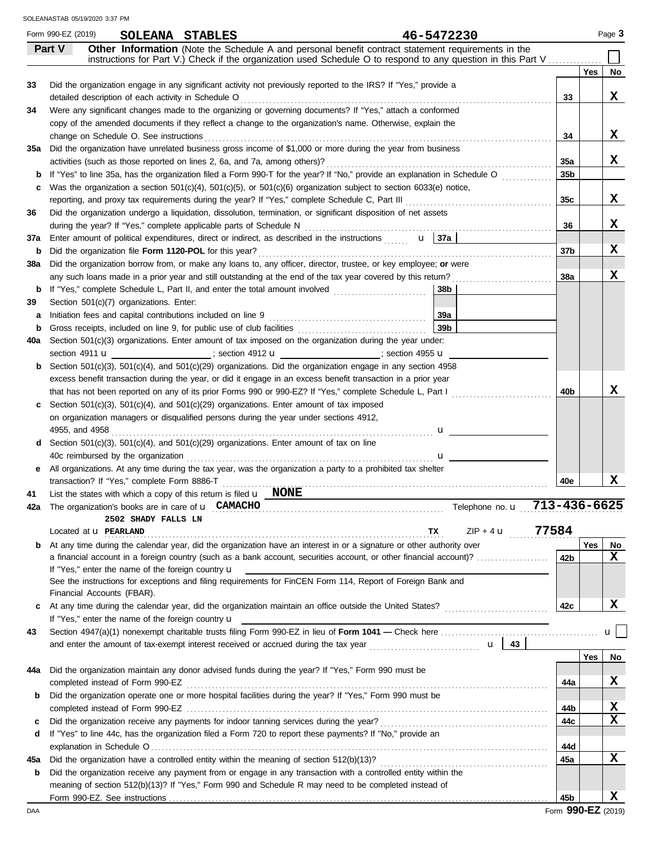|             | Form 990-EZ (2019)<br>SOLEANA STABLES                                                                                                               | 46-5472230                                                                                  |                 |     | Page 3      |
|-------------|-----------------------------------------------------------------------------------------------------------------------------------------------------|---------------------------------------------------------------------------------------------|-----------------|-----|-------------|
|             | Other Information (Note the Schedule A and personal benefit contract statement requirements in the<br>Part V                                        |                                                                                             |                 |     |             |
|             | instructions for Part V.) Check if the organization used Schedule O to respond to any question in this Part V                                       |                                                                                             |                 |     |             |
|             |                                                                                                                                                     |                                                                                             |                 | Yes | No          |
| 33          | Did the organization engage in any significant activity not previously reported to the IRS? If "Yes," provide a                                     |                                                                                             |                 |     | X           |
|             | detailed description of each activity in Schedule O                                                                                                 |                                                                                             | 33              |     |             |
| 34          | Were any significant changes made to the organizing or governing documents? If "Yes," attach a conformed                                            |                                                                                             |                 |     |             |
|             | copy of the amended documents if they reflect a change to the organization's name. Otherwise, explain the<br>change on Schedule O. See instructions |                                                                                             | 34              |     | X           |
| 35a         | Did the organization have unrelated business gross income of \$1,000 or more during the year from business                                          |                                                                                             |                 |     |             |
|             | activities (such as those reported on lines 2, 6a, and 7a, among others)?                                                                           |                                                                                             | 35a             |     | x           |
| b           | If "Yes" to line 35a, has the organization filed a Form 990-T for the year? If "No," provide an explanation in Schedule O                           |                                                                                             | 35b             |     |             |
| c           | Was the organization a section $501(c)(4)$ , $501(c)(5)$ , or $501(c)(6)$ organization subject to section 6033(e) notice,                           |                                                                                             |                 |     |             |
|             |                                                                                                                                                     |                                                                                             | 35c             |     | X           |
| 36          | Did the organization undergo a liquidation, dissolution, termination, or significant disposition of net assets                                      |                                                                                             |                 |     |             |
|             | during the year? If "Yes," complete applicable parts of Schedule N                                                                                  |                                                                                             | 36              |     | x           |
| 37a         | Enter amount of political expenditures, direct or indirect, as described in the instructions $\mathbf{u}$ $\mathbf{v}$ $\mathbf{v}$                 |                                                                                             |                 |     |             |
| b           | Did the organization file Form 1120-POL for this year?                                                                                              |                                                                                             | 37b             |     | х           |
| 38a         | Did the organization borrow from, or make any loans to, any officer, director, trustee, or key employee; or were                                    |                                                                                             |                 |     |             |
|             | any such loans made in a prior year and still outstanding at the end of the tax year covered by this return?                                        |                                                                                             | <b>38a</b>      |     | х           |
| b           | If "Yes," complete Schedule L, Part II, and enter the total amount involved                                                                         | 38b                                                                                         |                 |     |             |
| 39          | Section 501(c)(7) organizations. Enter:                                                                                                             |                                                                                             |                 |     |             |
| a           |                                                                                                                                                     | 39a                                                                                         |                 |     |             |
| b           | Gross receipts, included on line 9, for public use of club facilities                                                                               | 39 <sub>b</sub>                                                                             |                 |     |             |
| 40a         | Section 501(c)(3) organizations. Enter amount of tax imposed on the organization during the year under:                                             |                                                                                             |                 |     |             |
|             | section 4911 <b>u</b> _________________; section 4912 <b>u</b> ______________; section 4955 <b>u</b>                                                |                                                                                             |                 |     |             |
| b           | Section 501(c)(3), 501(c)(4), and 501(c)(29) organizations. Did the organization engage in any section 4958                                         |                                                                                             |                 |     |             |
|             | excess benefit transaction during the year, or did it engage in an excess benefit transaction in a prior year                                       |                                                                                             |                 |     |             |
|             | that has not been reported on any of its prior Forms 990 or 990-EZ? If "Yes," complete Schedule L, Part I                                           |                                                                                             | 40 <sub>b</sub> |     | x           |
| c           | Section $501(c)(3)$ , $501(c)(4)$ , and $501(c)(29)$ organizations. Enter amount of tax imposed                                                     |                                                                                             |                 |     |             |
|             | on organization managers or disqualified persons during the year under sections 4912,                                                               |                                                                                             |                 |     |             |
|             | 4955, and 4958                                                                                                                                      | $\mathbf{u}$                                                                                |                 |     |             |
| d           | Section 501(c)(3), 501(c)(4), and 501(c)(29) organizations. Enter amount of tax on line                                                             |                                                                                             |                 |     |             |
|             | 40c reimbursed by the organization                                                                                                                  | $\mathbf u$ and $\mathbf u$ and $\mathbf u$ and $\mathbf u$ and $\mathbf u$ and $\mathbf u$ |                 |     |             |
| е           | All organizations. At any time during the tax year, was the organization a party to a prohibited tax shelter                                        |                                                                                             |                 |     |             |
|             | transaction? If "Yes," complete Form 8886-T                                                                                                         |                                                                                             | 40e             |     | x           |
| 41          | List the states with which a copy of this return is filed $\mathbf{u}$ NONE                                                                         |                                                                                             |                 |     |             |
|             | 42a The organization's books are in care of <b>u</b> CAMACHO                                                                                        | Telephone no. u 713-436-6625                                                                |                 |     |             |
|             | 2502 SHADY FALLS LN                                                                                                                                 |                                                                                             |                 |     |             |
|             | Located at <b>u</b> PEARLAND<br>ТX                                                                                                                  | ZIP + 4 <b>u</b>                                                                            | 77584           |     |             |
| b           | At any time during the calendar year, did the organization have an interest in or a signature or other authority over                               |                                                                                             |                 | Yes | No          |
|             | a financial account in a foreign country (such as a bank account, securities account, or other financial account)?                                  |                                                                                             | 42b             |     | $\mathbf x$ |
|             | If "Yes," enter the name of the foreign country u                                                                                                   |                                                                                             |                 |     |             |
|             | See the instructions for exceptions and filing requirements for FinCEN Form 114, Report of Foreign Bank and                                         |                                                                                             |                 |     |             |
|             | Financial Accounts (FBAR).                                                                                                                          |                                                                                             |                 |     |             |
| c           |                                                                                                                                                     |                                                                                             | 42c             |     | x           |
|             | If "Yes," enter the name of the foreign country u<br>,我们也不能在这里的时候,我们也不能在这里的时候,我们也不能会在这里的时候,我们也不能会在这里的时候,我们也不能会在这里的时候,我们也不能会在这里的时候,我们也               |                                                                                             |                 |     |             |
| 43          |                                                                                                                                                     |                                                                                             |                 |     | <b>u</b>    |
|             |                                                                                                                                                     |                                                                                             |                 |     |             |
|             |                                                                                                                                                     |                                                                                             |                 | Yes | No          |
| 44a         | Did the organization maintain any donor advised funds during the year? If "Yes," Form 990 must be                                                   |                                                                                             |                 |     |             |
|             | completed instead of Form 990-EZ                                                                                                                    |                                                                                             | 44a             |     | х           |
| b           | Did the organization operate one or more hospital facilities during the year? If "Yes," Form 990 must be                                            |                                                                                             |                 |     |             |
|             |                                                                                                                                                     |                                                                                             | 44b             |     | X           |
| c           |                                                                                                                                                     |                                                                                             | 44c             |     | X           |
| d           | If "Yes" to line 44c, has the organization filed a Form 720 to report these payments? If "No," provide an                                           |                                                                                             |                 |     |             |
|             |                                                                                                                                                     |                                                                                             | 44d             |     |             |
| 45a         | Did the organization have a controlled entity within the meaning of section 512(b)(13)?                                                             |                                                                                             | 45a             |     | x           |
| $\mathbf b$ | Did the organization receive any payment from or engage in any transaction with a controlled entity within the                                      |                                                                                             |                 |     |             |
|             | meaning of section 512(b)(13)? If "Yes," Form 990 and Schedule R may need to be completed instead of                                                |                                                                                             |                 |     |             |
|             |                                                                                                                                                     |                                                                                             | 45b             |     | x           |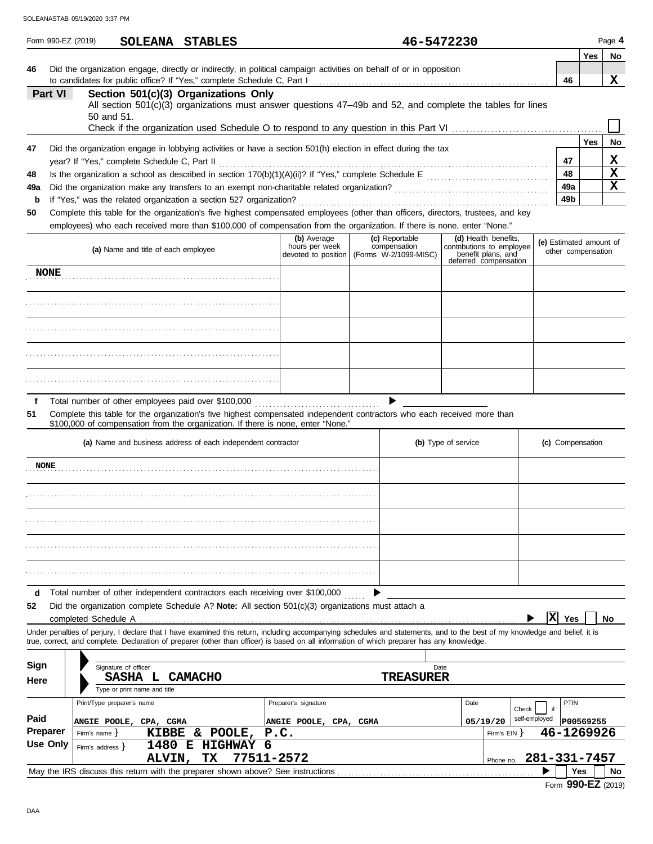|              |                    | SOLEANASTAB 05/19/2020 3:37 PM                                                                                                                                                                                                                                                                                           |                                                                              |                                |                     |                                                                                                  |               |                    |                         |
|--------------|--------------------|--------------------------------------------------------------------------------------------------------------------------------------------------------------------------------------------------------------------------------------------------------------------------------------------------------------------------|------------------------------------------------------------------------------|--------------------------------|---------------------|--------------------------------------------------------------------------------------------------|---------------|--------------------|-------------------------|
|              | Form 990-EZ (2019) | SOLEANA STABLES                                                                                                                                                                                                                                                                                                          |                                                                              | 46-5472230                     |                     |                                                                                                  |               |                    | Page 4                  |
| 46           |                    | Did the organization engage, directly or indirectly, in political campaign activities on behalf of or in opposition                                                                                                                                                                                                      |                                                                              |                                |                     |                                                                                                  |               |                    | Yes<br>No               |
|              |                    |                                                                                                                                                                                                                                                                                                                          |                                                                              |                                |                     |                                                                                                  |               | 46                 | х                       |
|              | Part VI            | Section 501(c)(3) Organizations Only                                                                                                                                                                                                                                                                                     |                                                                              |                                |                     |                                                                                                  |               |                    |                         |
|              |                    | All section 501(c)(3) organizations must answer questions 47-49b and 52, and complete the tables for lines<br>50 and 51.                                                                                                                                                                                                 |                                                                              |                                |                     |                                                                                                  |               |                    |                         |
|              |                    |                                                                                                                                                                                                                                                                                                                          |                                                                              |                                |                     |                                                                                                  |               |                    |                         |
|              |                    |                                                                                                                                                                                                                                                                                                                          |                                                                              |                                |                     |                                                                                                  |               | <b>Yes</b>         | No                      |
| 47           |                    | Did the organization engage in lobbying activities or have a section 501(h) election in effect during the tax                                                                                                                                                                                                            |                                                                              |                                |                     |                                                                                                  |               | 47                 | X                       |
| 48           |                    |                                                                                                                                                                                                                                                                                                                          |                                                                              |                                |                     |                                                                                                  |               | 48                 | $\mathbf x$             |
| 49a          |                    |                                                                                                                                                                                                                                                                                                                          |                                                                              |                                |                     |                                                                                                  |               | 49a                | X                       |
| $\mathbf b$  |                    | If "Yes," was the related organization a section 527 organization?                                                                                                                                                                                                                                                       |                                                                              |                                |                     |                                                                                                  |               | 49 <sub>b</sub>    |                         |
| 50           |                    | Complete this table for the organization's five highest compensated employees (other than officers, directors, trustees, and key                                                                                                                                                                                         |                                                                              |                                |                     |                                                                                                  |               |                    |                         |
|              |                    | employees) who each received more than \$100,000 of compensation from the organization. If there is none, enter "None."                                                                                                                                                                                                  |                                                                              |                                |                     |                                                                                                  |               |                    |                         |
|              |                    | (a) Name and title of each employee                                                                                                                                                                                                                                                                                      | (b) Average<br>hours per week<br>devoted to position   (Forms W-2/1099-MISC) | (c) Reportable<br>compensation |                     | (d) Health benefits,<br>contributions to employee<br>benefit plans, and<br>deferred compensation |               | other compensation | (e) Estimated amount of |
|              | <b>NONE</b>        |                                                                                                                                                                                                                                                                                                                          |                                                                              |                                |                     |                                                                                                  |               |                    |                         |
|              |                    |                                                                                                                                                                                                                                                                                                                          |                                                                              |                                |                     |                                                                                                  |               |                    |                         |
|              |                    |                                                                                                                                                                                                                                                                                                                          |                                                                              |                                |                     |                                                                                                  |               |                    |                         |
|              |                    |                                                                                                                                                                                                                                                                                                                          |                                                                              |                                |                     |                                                                                                  |               |                    |                         |
|              |                    |                                                                                                                                                                                                                                                                                                                          |                                                                              |                                |                     |                                                                                                  |               |                    |                         |
|              |                    |                                                                                                                                                                                                                                                                                                                          |                                                                              |                                |                     |                                                                                                  |               |                    |                         |
| f<br>51      |                    | Total number of other employees paid over \$100,000<br>Complete this table for the organization's five highest compensated independent contractors who each received more than<br>\$100,000 of compensation from the organization. If there is none, enter "None."                                                       |                                                                              | ▶                              |                     |                                                                                                  |               |                    |                         |
|              |                    | (a) Name and business address of each independent contractor                                                                                                                                                                                                                                                             |                                                                              |                                | (b) Type of service |                                                                                                  |               | (c) Compensation   |                         |
|              | <b>NONE</b>        |                                                                                                                                                                                                                                                                                                                          |                                                                              |                                |                     |                                                                                                  |               |                    |                         |
|              |                    |                                                                                                                                                                                                                                                                                                                          |                                                                              |                                |                     |                                                                                                  |               |                    |                         |
|              |                    |                                                                                                                                                                                                                                                                                                                          |                                                                              |                                |                     |                                                                                                  |               |                    |                         |
|              |                    |                                                                                                                                                                                                                                                                                                                          |                                                                              |                                |                     |                                                                                                  |               |                    |                         |
|              |                    |                                                                                                                                                                                                                                                                                                                          |                                                                              |                                |                     |                                                                                                  |               |                    |                         |
| d            |                    | Total number of other independent contractors each receiving over \$100,000                                                                                                                                                                                                                                              |                                                                              |                                |                     |                                                                                                  |               |                    |                         |
| 52           |                    | Did the organization complete Schedule A? Note: All section $501(c)(3)$ organizations must attach a<br>completed Schedule A                                                                                                                                                                                              |                                                                              |                                |                     |                                                                                                  | ΙX            | Yes                | No.                     |
|              |                    | Under penalties of perjury, I declare that I have examined this return, including accompanying schedules and statements, and to the best of my knowledge and belief, it is<br>true, correct, and complete. Declaration of preparer (other than officer) is based on all information of which preparer has any knowledge. |                                                                              |                                |                     |                                                                                                  |               |                    |                         |
|              |                    |                                                                                                                                                                                                                                                                                                                          |                                                                              |                                |                     |                                                                                                  |               |                    |                         |
| Sign<br>Here |                    | Signature of officer<br>SASHA L<br><b>CAMACHO</b>                                                                                                                                                                                                                                                                        |                                                                              | Date<br><b>TREASURER</b>       |                     |                                                                                                  |               |                    |                         |
|              |                    | Type or print name and title                                                                                                                                                                                                                                                                                             |                                                                              |                                |                     |                                                                                                  |               |                    |                         |
|              |                    | Print/Type preparer's name                                                                                                                                                                                                                                                                                               | Preparer's signature                                                         |                                | Date                | Check                                                                                            | if            | PTIN               |                         |
| Paid         |                    | ANGIE POOLE, CPA, CGMA                                                                                                                                                                                                                                                                                                   | ANGIE POOLE, CPA, CGMA                                                       |                                |                     | 05/19/20                                                                                         | self-employed | P00569255          |                         |
|              | <b>Preparer</b>    | & POOLE,<br>KIBBE<br>Firm's name $\}$                                                                                                                                                                                                                                                                                    | P.C.                                                                         |                                |                     | Firm's $EIN$ }                                                                                   |               | 46-1269926         |                         |
|              | Use Only           | 1480 E<br><b>HIGHWAY</b><br>6<br>Firm's address $\}$                                                                                                                                                                                                                                                                     |                                                                              |                                |                     |                                                                                                  |               |                    |                         |
|              |                    | TX<br>77511-2572<br>ALVIN,                                                                                                                                                                                                                                                                                               |                                                                              |                                |                     | Phone no.                                                                                        | 281-331-7457  |                    |                         |
|              |                    |                                                                                                                                                                                                                                                                                                                          |                                                                              |                                |                     |                                                                                                  |               | Yes                | No.                     |

|  | Form 990-EZ (2019) |  |
|--|--------------------|--|
|--|--------------------|--|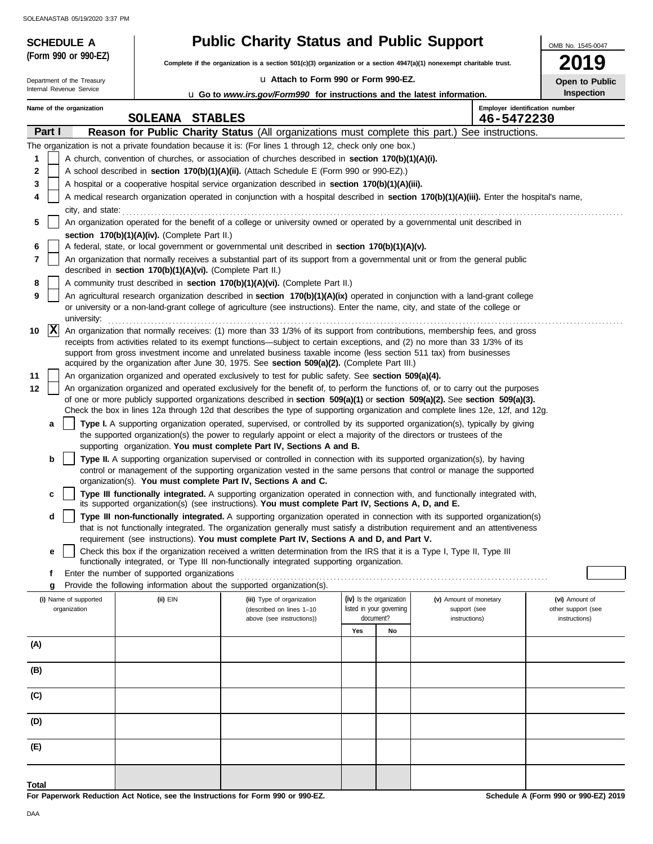Internal Revenue Service Department of the Treasury

**(Form 990 or 990-EZ)**

# **SCHEDULE A Public Charity Status and Public Support**

**Complete if the organization is a section 501(c)(3) organization or a section 4947(a)(1) nonexempt charitable trust.**

### u **Attach to Form 990 or Form 990-EZ.**

OMB No. 1545-0047

**Open to Public Inspection**

|       |        | Internal Revenue Service              |                                                            | <b>u</b> Go to www.irs.gov/Form990 for instructions and the latest information.                                                                                                                                                                                                                                                                   |     |                                                      |                                                                                                                                                                                                                                                                                                                                                                                                    | <b>Inspection</b>                    |
|-------|--------|---------------------------------------|------------------------------------------------------------|---------------------------------------------------------------------------------------------------------------------------------------------------------------------------------------------------------------------------------------------------------------------------------------------------------------------------------------------------|-----|------------------------------------------------------|----------------------------------------------------------------------------------------------------------------------------------------------------------------------------------------------------------------------------------------------------------------------------------------------------------------------------------------------------------------------------------------------------|--------------------------------------|
|       |        | Name of the organization              | <b>SOLEANA</b><br><b>STABLES</b>                           |                                                                                                                                                                                                                                                                                                                                                   |     |                                                      | Employer identification number<br>46-5472230                                                                                                                                                                                                                                                                                                                                                       |                                      |
|       | Part I |                                       |                                                            |                                                                                                                                                                                                                                                                                                                                                   |     |                                                      | Reason for Public Charity Status (All organizations must complete this part.) See instructions.                                                                                                                                                                                                                                                                                                    |                                      |
|       |        |                                       |                                                            | The organization is not a private foundation because it is: (For lines 1 through 12, check only one box.)                                                                                                                                                                                                                                         |     |                                                      |                                                                                                                                                                                                                                                                                                                                                                                                    |                                      |
| 1     |        |                                       |                                                            | A church, convention of churches, or association of churches described in section 170(b)(1)(A)(i).                                                                                                                                                                                                                                                |     |                                                      |                                                                                                                                                                                                                                                                                                                                                                                                    |                                      |
| 2     |        |                                       |                                                            | A school described in section 170(b)(1)(A)(ii). (Attach Schedule E (Form 990 or 990-EZ).)                                                                                                                                                                                                                                                         |     |                                                      |                                                                                                                                                                                                                                                                                                                                                                                                    |                                      |
| 3     |        |                                       |                                                            | A hospital or a cooperative hospital service organization described in section 170(b)(1)(A)(iii).                                                                                                                                                                                                                                                 |     |                                                      |                                                                                                                                                                                                                                                                                                                                                                                                    |                                      |
| 4     |        |                                       |                                                            |                                                                                                                                                                                                                                                                                                                                                   |     |                                                      | A medical research organization operated in conjunction with a hospital described in section 170(b)(1)(A)(iii). Enter the hospital's name,                                                                                                                                                                                                                                                         |                                      |
| 5     |        |                                       | section 170(b)(1)(A)(iv). (Complete Part II.)              | An organization operated for the benefit of a college or university owned or operated by a governmental unit described in                                                                                                                                                                                                                         |     |                                                      |                                                                                                                                                                                                                                                                                                                                                                                                    |                                      |
| 6     |        |                                       |                                                            | A federal, state, or local government or governmental unit described in section 170(b)(1)(A)(v).                                                                                                                                                                                                                                                  |     |                                                      |                                                                                                                                                                                                                                                                                                                                                                                                    |                                      |
| 7     |        |                                       | described in section 170(b)(1)(A)(vi). (Complete Part II.) |                                                                                                                                                                                                                                                                                                                                                   |     |                                                      | An organization that normally receives a substantial part of its support from a governmental unit or from the general public                                                                                                                                                                                                                                                                       |                                      |
| 8     |        |                                       |                                                            | A community trust described in section 170(b)(1)(A)(vi). (Complete Part II.)                                                                                                                                                                                                                                                                      |     |                                                      |                                                                                                                                                                                                                                                                                                                                                                                                    |                                      |
| 9     |        | university:                           |                                                            | or university or a non-land-grant college of agriculture (see instructions). Enter the name, city, and state of the college or                                                                                                                                                                                                                    |     |                                                      | An agricultural research organization described in section 170(b)(1)(A)(ix) operated in conjunction with a land-grant college                                                                                                                                                                                                                                                                      |                                      |
| 10    | X      |                                       |                                                            | receipts from activities related to its exempt functions—subject to certain exceptions, and (2) no more than 33 1/3% of its<br>support from gross investment income and unrelated business taxable income (less section 511 tax) from businesses<br>acquired by the organization after June 30, 1975. See section 509(a)(2). (Complete Part III.) |     |                                                      | An organization that normally receives: (1) more than 33 1/3% of its support from contributions, membership fees, and gross                                                                                                                                                                                                                                                                        |                                      |
| 11    |        |                                       |                                                            | An organization organized and operated exclusively to test for public safety. See section 509(a)(4).                                                                                                                                                                                                                                              |     |                                                      |                                                                                                                                                                                                                                                                                                                                                                                                    |                                      |
| 12    |        |                                       |                                                            |                                                                                                                                                                                                                                                                                                                                                   |     |                                                      | An organization organized and operated exclusively for the benefit of, to perform the functions of, or to carry out the purposes<br>of one or more publicly supported organizations described in section 509(a)(1) or section 509(a)(2). See section 509(a)(3).<br>Check the box in lines 12a through 12d that describes the type of supporting organization and complete lines 12e, 12f, and 12g. |                                      |
|       | a      |                                       |                                                            | the supported organization(s) the power to regularly appoint or elect a majority of the directors or trustees of the                                                                                                                                                                                                                              |     |                                                      | Type I. A supporting organization operated, supervised, or controlled by its supported organization(s), typically by giving                                                                                                                                                                                                                                                                        |                                      |
|       |        |                                       |                                                            | supporting organization. You must complete Part IV, Sections A and B.<br>Type II. A supporting organization supervised or controlled in connection with its supported organization(s), by having                                                                                                                                                  |     |                                                      |                                                                                                                                                                                                                                                                                                                                                                                                    |                                      |
|       | b      |                                       |                                                            | organization(s). You must complete Part IV, Sections A and C.                                                                                                                                                                                                                                                                                     |     |                                                      | control or management of the supporting organization vested in the same persons that control or manage the supported                                                                                                                                                                                                                                                                               |                                      |
|       | c      |                                       |                                                            | its supported organization(s) (see instructions). You must complete Part IV, Sections A, D, and E.                                                                                                                                                                                                                                                |     |                                                      | Type III functionally integrated. A supporting organization operated in connection with, and functionally integrated with,                                                                                                                                                                                                                                                                         |                                      |
|       | d      |                                       |                                                            |                                                                                                                                                                                                                                                                                                                                                   |     |                                                      | Type III non-functionally integrated. A supporting organization operated in connection with its supported organization(s)<br>that is not functionally integrated. The organization generally must satisfy a distribution requirement and an attentiveness                                                                                                                                          |                                      |
|       |        |                                       |                                                            | requirement (see instructions). You must complete Part IV, Sections A and D, and Part V.                                                                                                                                                                                                                                                          |     |                                                      |                                                                                                                                                                                                                                                                                                                                                                                                    |                                      |
|       | е      |                                       |                                                            | Check this box if the organization received a written determination from the IRS that it is a Type I, Type II, Type III<br>functionally integrated, or Type III non-functionally integrated supporting organization.                                                                                                                              |     |                                                      |                                                                                                                                                                                                                                                                                                                                                                                                    |                                      |
|       | f      |                                       | Enter the number of supported organizations                |                                                                                                                                                                                                                                                                                                                                                   |     |                                                      |                                                                                                                                                                                                                                                                                                                                                                                                    |                                      |
|       | g      |                                       |                                                            | Provide the following information about the supported organization(s).                                                                                                                                                                                                                                                                            |     |                                                      |                                                                                                                                                                                                                                                                                                                                                                                                    |                                      |
|       |        | (i) Name of supported<br>organization | (ii) EIN                                                   | (iii) Type of organization<br>(described on lines 1-10                                                                                                                                                                                                                                                                                            |     | (iv) Is the organization<br>listed in your governing | (v) Amount of monetary<br>support (see                                                                                                                                                                                                                                                                                                                                                             | (vi) Amount of<br>other support (see |
|       |        |                                       |                                                            | above (see instructions))                                                                                                                                                                                                                                                                                                                         |     | document?                                            | instructions)                                                                                                                                                                                                                                                                                                                                                                                      | instructions)                        |
|       |        |                                       |                                                            |                                                                                                                                                                                                                                                                                                                                                   | Yes | No                                                   |                                                                                                                                                                                                                                                                                                                                                                                                    |                                      |
| (A)   |        |                                       |                                                            |                                                                                                                                                                                                                                                                                                                                                   |     |                                                      |                                                                                                                                                                                                                                                                                                                                                                                                    |                                      |
| (B)   |        |                                       |                                                            |                                                                                                                                                                                                                                                                                                                                                   |     |                                                      |                                                                                                                                                                                                                                                                                                                                                                                                    |                                      |
| (C)   |        |                                       |                                                            |                                                                                                                                                                                                                                                                                                                                                   |     |                                                      |                                                                                                                                                                                                                                                                                                                                                                                                    |                                      |
| (D)   |        |                                       |                                                            |                                                                                                                                                                                                                                                                                                                                                   |     |                                                      |                                                                                                                                                                                                                                                                                                                                                                                                    |                                      |
| (E)   |        |                                       |                                                            |                                                                                                                                                                                                                                                                                                                                                   |     |                                                      |                                                                                                                                                                                                                                                                                                                                                                                                    |                                      |
|       |        |                                       |                                                            |                                                                                                                                                                                                                                                                                                                                                   |     |                                                      |                                                                                                                                                                                                                                                                                                                                                                                                    |                                      |
| Total |        |                                       |                                                            |                                                                                                                                                                                                                                                                                                                                                   |     |                                                      |                                                                                                                                                                                                                                                                                                                                                                                                    |                                      |

**For Paperwork Reduction Act Notice, see the Instructions for Form 990 or 990-EZ.**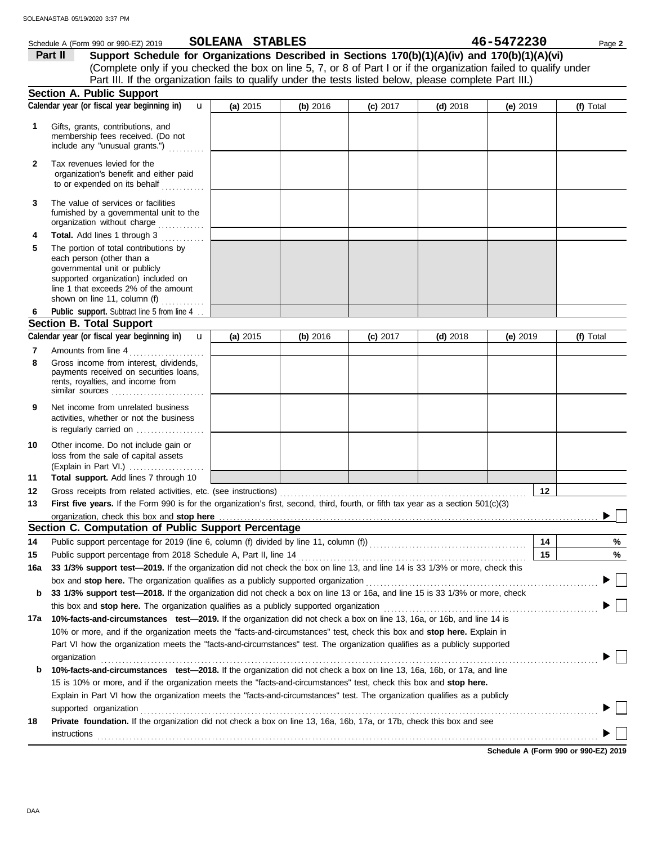|              | Schedule A (Form 990 or 990-EZ) 2019                                                                                                                                                                                        | SOLEANA STABLES |          |          |            | 46-5472230 | Page 2    |
|--------------|-----------------------------------------------------------------------------------------------------------------------------------------------------------------------------------------------------------------------------|-----------------|----------|----------|------------|------------|-----------|
|              | Support Schedule for Organizations Described in Sections 170(b)(1)(A)(iv) and 170(b)(1)(A)(vi)<br>Part II                                                                                                                   |                 |          |          |            |            |           |
|              | (Complete only if you checked the box on line 5, 7, or 8 of Part I or if the organization failed to qualify under                                                                                                           |                 |          |          |            |            |           |
|              | Part III. If the organization fails to qualify under the tests listed below, please complete Part III.)                                                                                                                     |                 |          |          |            |            |           |
|              | Section A. Public Support                                                                                                                                                                                                   |                 |          |          |            |            |           |
|              | Calendar year (or fiscal year beginning in)<br>$\mathbf{u}$                                                                                                                                                                 | (a) 2015        | (b) 2016 | (c) 2017 | $(d)$ 2018 | (e) $2019$ | (f) Total |
| 1            | Gifts, grants, contributions, and<br>membership fees received. (Do not<br>include any "unusual grants.")                                                                                                                    |                 |          |          |            |            |           |
| $\mathbf{2}$ | Tax revenues levied for the<br>organization's benefit and either paid<br>to or expended on its behalf                                                                                                                       |                 |          |          |            |            |           |
| 3            | The value of services or facilities<br>furnished by a governmental unit to the<br>organization without charge                                                                                                               |                 |          |          |            |            |           |
| 4            | Total. Add lines 1 through 3                                                                                                                                                                                                |                 |          |          |            |            |           |
| 5            | The portion of total contributions by<br>each person (other than a<br>governmental unit or publicly<br>supported organization) included on<br>line 1 that exceeds 2% of the amount<br>shown on line 11, column (f) $\ldots$ |                 |          |          |            |            |           |
| 6            | Public support. Subtract line 5 from line 4.                                                                                                                                                                                |                 |          |          |            |            |           |
|              | <b>Section B. Total Support</b>                                                                                                                                                                                             |                 |          |          |            |            |           |
|              | Calendar year (or fiscal year beginning in) $\mathbf u$                                                                                                                                                                     | (a) 2015        | (b) 2016 | (c) 2017 | $(d)$ 2018 | (e) $2019$ | (f) Total |
| 7            | Amounts from line 4                                                                                                                                                                                                         |                 |          |          |            |            |           |
| 8            | Gross income from interest, dividends,<br>payments received on securities loans,<br>rents, royalties, and income from<br>similar sources                                                                                    |                 |          |          |            |            |           |
| 9            | Net income from unrelated business<br>activities, whether or not the business<br>is regularly carried on                                                                                                                    |                 |          |          |            |            |           |
| 10<br>11     | Other income. Do not include gain or<br>loss from the sale of capital assets<br>Total support. Add lines 7 through 10                                                                                                       |                 |          |          |            |            |           |
| 12           |                                                                                                                                                                                                                             |                 |          |          |            | 12         |           |
| 13           | First five years. If the Form 990 is for the organization's first, second, third, fourth, or fifth tax year as a section 501(c)(3)                                                                                          |                 |          |          |            |            |           |
|              | organization, check this box and stop here                                                                                                                                                                                  |                 |          |          |            |            |           |
|              | Section C. Computation of Public Support Percentage                                                                                                                                                                         |                 |          |          |            |            |           |
| 14           | Public support percentage for 2019 (line 6, column (f) divided by line 11, column (f)) [[[[[ [ [ ]]                                                                                                                         |                 |          |          |            | 14         | %         |
| 15           |                                                                                                                                                                                                                             |                 |          |          |            | 15         | %         |
| 16a          | 33 1/3% support test-2019. If the organization did not check the box on line 13, and line 14 is 33 1/3% or more, check this                                                                                                 |                 |          |          |            |            |           |
|              |                                                                                                                                                                                                                             |                 |          |          |            |            |           |
| b            | 33 1/3% support test-2018. If the organization did not check a box on line 13 or 16a, and line 15 is 33 1/3% or more, check                                                                                                 |                 |          |          |            |            |           |
|              | this box and stop here. The organization qualifies as a publicly supported organization                                                                                                                                     |                 |          |          |            |            |           |
| 17a          | 10%-facts-and-circumstances test-2019. If the organization did not check a box on line 13, 16a, or 16b, and line 14 is                                                                                                      |                 |          |          |            |            |           |
|              | 10% or more, and if the organization meets the "facts-and-circumstances" test, check this box and stop here. Explain in                                                                                                     |                 |          |          |            |            |           |
|              | Part VI how the organization meets the "facts-and-circumstances" test. The organization qualifies as a publicly supported                                                                                                   |                 |          |          |            |            |           |
|              | organization                                                                                                                                                                                                                |                 |          |          |            |            |           |
| b            | 10%-facts-and-circumstances test-2018. If the organization did not check a box on line 13, 16a, 16b, or 17a, and line                                                                                                       |                 |          |          |            |            |           |
|              | 15 is 10% or more, and if the organization meets the "facts-and-circumstances" test, check this box and stop here.                                                                                                          |                 |          |          |            |            |           |
|              | Explain in Part VI how the organization meets the "facts-and-circumstances" test. The organization qualifies as a publicly                                                                                                  |                 |          |          |            |            |           |
|              | supported organization                                                                                                                                                                                                      |                 |          |          |            |            |           |
| 18           | Private foundation. If the organization did not check a box on line 13, 16a, 16b, 17a, or 17b, check this box and see                                                                                                       |                 |          |          |            |            |           |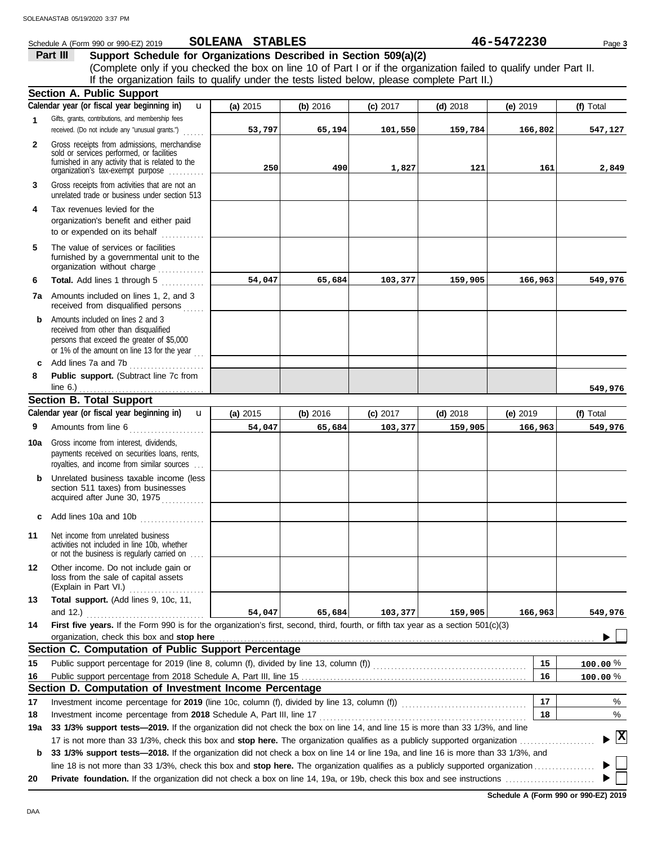|              | Schedule A (Form 990 or 990-EZ) 2019                                                                                               | SOLEANA STABLES |          |          |            | 46-5472230 | Page 3          |
|--------------|------------------------------------------------------------------------------------------------------------------------------------|-----------------|----------|----------|------------|------------|-----------------|
|              | Support Schedule for Organizations Described in Section 509(a)(2)<br>Part III                                                      |                 |          |          |            |            |                 |
|              | (Complete only if you checked the box on line 10 of Part I or if the organization failed to qualify under Part II.                 |                 |          |          |            |            |                 |
|              | If the organization fails to qualify under the tests listed below, please complete Part II.)                                       |                 |          |          |            |            |                 |
|              | Section A. Public Support                                                                                                          |                 |          |          |            |            |                 |
|              | Calendar year (or fiscal year beginning in)<br>$\mathbf{u}$                                                                        | (a) 2015        | (b) 2016 | (c) 2017 | $(d)$ 2018 | $(e)$ 2019 | (f) Total       |
| 1            | Gifts, grants, contributions, and membership fees                                                                                  |                 |          |          |            |            |                 |
|              | received. (Do not include any "unusual grants.")                                                                                   | 53,797          | 65,194   | 101,550  | 159,784    | 166,802    | 547,127         |
| $\mathbf{2}$ | Gross receipts from admissions, merchandise                                                                                        |                 |          |          |            |            |                 |
|              | sold or services performed, or facilities                                                                                          |                 |          |          |            |            |                 |
|              | furnished in any activity that is related to the<br>organization's tax-exempt purpose                                              | 250             | 490      | 1,827    | 121        | 161        | 2,849           |
| 3            | Gross receipts from activities that are not an                                                                                     |                 |          |          |            |            |                 |
|              | unrelated trade or business under section 513                                                                                      |                 |          |          |            |            |                 |
| 4            | Tax revenues levied for the                                                                                                        |                 |          |          |            |            |                 |
|              | organization's benefit and either paid                                                                                             |                 |          |          |            |            |                 |
|              | to or expended on its behalf                                                                                                       |                 |          |          |            |            |                 |
| 5            | The value of services or facilities                                                                                                |                 |          |          |            |            |                 |
|              | furnished by a governmental unit to the                                                                                            |                 |          |          |            |            |                 |
|              | organization without charge                                                                                                        |                 |          |          |            |            |                 |
| 6            | Total. Add lines 1 through 5                                                                                                       | 54,047          | 65,684   | 103,377  | 159,905    | 166,963    | 549,976         |
|              | <b>7a</b> Amounts included on lines 1, 2, and 3<br>received from disqualified persons                                              |                 |          |          |            |            |                 |
| b            | Amounts included on lines 2 and 3                                                                                                  |                 |          |          |            |            |                 |
|              | received from other than disqualified                                                                                              |                 |          |          |            |            |                 |
|              | persons that exceed the greater of \$5,000                                                                                         |                 |          |          |            |            |                 |
|              | or 1% of the amount on line 13 for the year                                                                                        |                 |          |          |            |            |                 |
|              | Add lines 7a and 7b                                                                                                                |                 |          |          |            |            |                 |
| 8            | Public support. (Subtract line 7c from<br>line $6.$ )                                                                              |                 |          |          |            |            |                 |
|              | .<br><b>Section B. Total Support</b>                                                                                               |                 |          |          |            |            | 549,976         |
|              | Calendar year (or fiscal year beginning in)<br>$\mathbf{u}$                                                                        | (a) 2015        | (b) 2016 |          |            | (e) 2019   |                 |
|              |                                                                                                                                    |                 |          | (c) 2017 | $(d)$ 2018 |            | (f) Total       |
| 9            | Amounts from line 6                                                                                                                | 54,047          | 65,684   | 103,377  | 159,905    | 166,963    | 549,976         |
| 10a          | Gross income from interest, dividends,                                                                                             |                 |          |          |            |            |                 |
|              | payments received on securities loans, rents,<br>royalties, and income from similar sources                                        |                 |          |          |            |            |                 |
| b            | Unrelated business taxable income (less                                                                                            |                 |          |          |            |            |                 |
|              | section 511 taxes) from businesses<br>acquired after June 30, 1975                                                                 |                 |          |          |            |            |                 |
| c            | Add lines 10a and 10b                                                                                                              |                 |          |          |            |            |                 |
| 11           | Net income from unrelated business                                                                                                 |                 |          |          |            |            |                 |
|              | activities not included in line 10b, whether                                                                                       |                 |          |          |            |            |                 |
|              | or not the business is regularly carried on                                                                                        |                 |          |          |            |            |                 |
| 12           | Other income. Do not include gain or<br>loss from the sale of capital assets                                                       |                 |          |          |            |            |                 |
|              | (Explain in Part VI.)                                                                                                              |                 |          |          |            |            |                 |
| 13           | Total support. (Add lines 9, 10c, 11,                                                                                              |                 |          |          |            |            |                 |
|              |                                                                                                                                    | 54,047          | 65,684   | 103,377  | 159,905    | 166,963    | 549,976         |
| 14           | First five years. If the Form 990 is for the organization's first, second, third, fourth, or fifth tax year as a section 501(c)(3) |                 |          |          |            |            |                 |
|              | organization, check this box and stop here                                                                                         |                 |          |          |            |            |                 |
|              | Section C. Computation of Public Support Percentage                                                                                |                 |          |          |            |            |                 |
| 15           | Public support percentage for 2019 (line 8, column (f), divided by line 13, column (f)) [[[[[[[[[[[[[[[[[[[[[                      |                 |          |          |            | 15         | $100.00\%$      |
| 16           |                                                                                                                                    |                 |          |          |            | 16         | 100.00%         |
|              | Section D. Computation of Investment Income Percentage                                                                             |                 |          |          |            |            |                 |
| 17           |                                                                                                                                    |                 |          |          |            | 17         | %               |
| 18           | Investment income percentage from 2018 Schedule A, Part III, line 17                                                               |                 |          |          |            | 18         | %               |
| 19a          | 33 1/3% support tests-2019. If the organization did not check the box on line 14, and line 15 is more than 33 1/3%, and line       |                 |          |          |            |            |                 |
|              |                                                                                                                                    |                 |          |          |            |            | $\vert x \vert$ |
| b            | 33 1/3% support tests-2018. If the organization did not check a box on line 14 or line 19a, and line 16 is more than 33 1/3%, and  |                 |          |          |            |            |                 |
|              |                                                                                                                                    |                 |          |          |            |            |                 |
| 20           |                                                                                                                                    |                 |          |          |            |            |                 |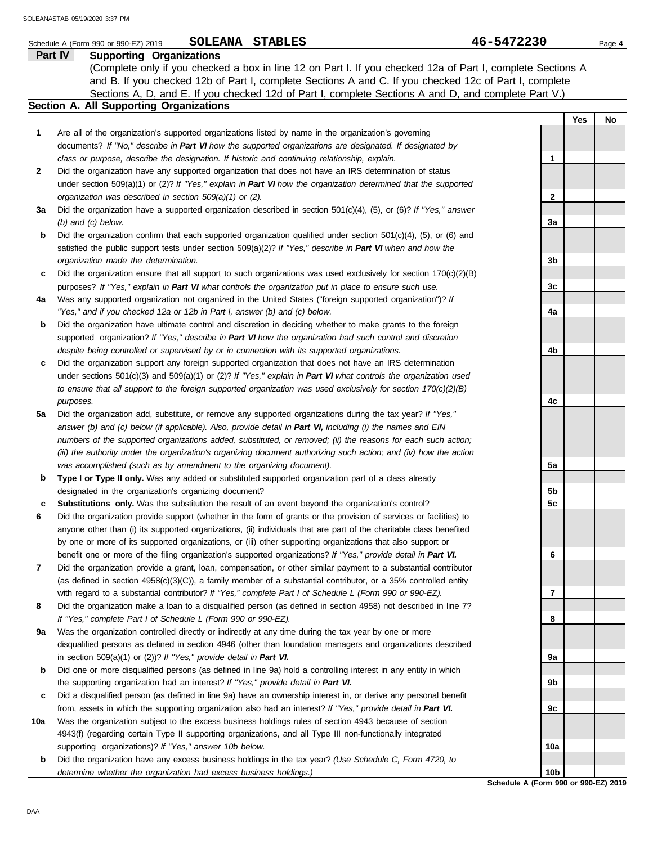|     | SOLEANA STABLES<br>Schedule A (Form 990 or 990-EZ) 2019                                                                                                                                                                     | 46-5472230      |     | Page 4 |
|-----|-----------------------------------------------------------------------------------------------------------------------------------------------------------------------------------------------------------------------------|-----------------|-----|--------|
|     | Part IV<br><b>Supporting Organizations</b><br>(Complete only if you checked a box in line 12 on Part I. If you checked 12a of Part I, complete Sections A                                                                   |                 |     |        |
|     | and B. If you checked 12b of Part I, complete Sections A and C. If you checked 12c of Part I, complete<br>Sections A, D, and E. If you checked 12d of Part I, complete Sections A and D, and complete Part V.)              |                 |     |        |
|     | Section A. All Supporting Organizations                                                                                                                                                                                     |                 |     |        |
|     |                                                                                                                                                                                                                             |                 | Yes | No     |
| 1   | Are all of the organization's supported organizations listed by name in the organization's governing<br>documents? If "No," describe in Part VI how the supported organizations are designated. If designated by            |                 |     |        |
| 2   | class or purpose, describe the designation. If historic and continuing relationship, explain.<br>Did the organization have any supported organization that does not have an IRS determination of status                     | 1               |     |        |
|     | under section 509(a)(1) or (2)? If "Yes," explain in Part VI how the organization determined that the supported                                                                                                             |                 |     |        |
|     | organization was described in section 509(a)(1) or (2).                                                                                                                                                                     | $\mathbf{2}$    |     |        |
| За  | Did the organization have a supported organization described in section $501(c)(4)$ , (5), or (6)? If "Yes," answer                                                                                                         |                 |     |        |
|     | $(b)$ and $(c)$ below.                                                                                                                                                                                                      | 3a              |     |        |
| b   | Did the organization confirm that each supported organization qualified under section $501(c)(4)$ , $(5)$ , or $(6)$ and                                                                                                    |                 |     |        |
|     | satisfied the public support tests under section 509(a)(2)? If "Yes," describe in Part VI when and how the                                                                                                                  |                 |     |        |
|     | organization made the determination.                                                                                                                                                                                        | 3b              |     |        |
| c   | Did the organization ensure that all support to such organizations was used exclusively for section $170(c)(2)(B)$                                                                                                          |                 |     |        |
|     | purposes? If "Yes," explain in Part VI what controls the organization put in place to ensure such use.                                                                                                                      | 3c              |     |        |
| 4a  | Was any supported organization not organized in the United States ("foreign supported organization")? If                                                                                                                    |                 |     |        |
|     | "Yes," and if you checked 12a or 12b in Part I, answer (b) and (c) below.                                                                                                                                                   | 4a              |     |        |
| b   | Did the organization have ultimate control and discretion in deciding whether to make grants to the foreign                                                                                                                 |                 |     |        |
|     | supported organization? If "Yes," describe in Part VI how the organization had such control and discretion                                                                                                                  |                 |     |        |
|     | despite being controlled or supervised by or in connection with its supported organizations.                                                                                                                                | 4b              |     |        |
| c   | Did the organization support any foreign supported organization that does not have an IRS determination                                                                                                                     |                 |     |        |
|     | under sections $501(c)(3)$ and $509(a)(1)$ or (2)? If "Yes," explain in Part VI what controls the organization used                                                                                                         |                 |     |        |
|     | to ensure that all support to the foreign supported organization was used exclusively for section $170(c)(2)(B)$                                                                                                            |                 |     |        |
|     | purposes.                                                                                                                                                                                                                   | 4c              |     |        |
| 5a  | Did the organization add, substitute, or remove any supported organizations during the tax year? If "Yes,"                                                                                                                  |                 |     |        |
|     | answer (b) and (c) below (if applicable). Also, provide detail in Part VI, including (i) the names and EIN<br>numbers of the supported organizations added, substituted, or removed; (ii) the reasons for each such action; |                 |     |        |
|     | (iii) the authority under the organization's organizing document authorizing such action; and (iv) how the action                                                                                                           |                 |     |        |
|     | was accomplished (such as by amendment to the organizing document).                                                                                                                                                         | 5a              |     |        |
| b   | Type I or Type II only. Was any added or substituted supported organization part of a class already                                                                                                                         |                 |     |        |
|     | designated in the organization's organizing document?                                                                                                                                                                       | 5b              |     |        |
| c   | Substitutions only. Was the substitution the result of an event beyond the organization's control?                                                                                                                          | 5 <sub>c</sub>  |     |        |
| 6   | Did the organization provide support (whether in the form of grants or the provision of services or facilities) to                                                                                                          |                 |     |        |
|     | anyone other than (i) its supported organizations, (ii) individuals that are part of the charitable class benefited                                                                                                         |                 |     |        |
|     | by one or more of its supported organizations, or (iii) other supporting organizations that also support or                                                                                                                 |                 |     |        |
|     | benefit one or more of the filing organization's supported organizations? If "Yes," provide detail in Part VI.                                                                                                              | 6               |     |        |
| 7   | Did the organization provide a grant, loan, compensation, or other similar payment to a substantial contributor                                                                                                             |                 |     |        |
|     | (as defined in section $4958(c)(3)(C)$ ), a family member of a substantial contributor, or a 35% controlled entity                                                                                                          |                 |     |        |
|     | with regard to a substantial contributor? If "Yes," complete Part I of Schedule L (Form 990 or 990-EZ).                                                                                                                     | 7               |     |        |
| 8   | Did the organization make a loan to a disqualified person (as defined in section 4958) not described in line 7?                                                                                                             |                 |     |        |
|     | If "Yes," complete Part I of Schedule L (Form 990 or 990-EZ).                                                                                                                                                               | 8               |     |        |
| 9а  | Was the organization controlled directly or indirectly at any time during the tax year by one or more                                                                                                                       |                 |     |        |
|     | disqualified persons as defined in section 4946 (other than foundation managers and organizations described                                                                                                                 |                 |     |        |
|     | in section $509(a)(1)$ or $(2)$ ? If "Yes," provide detail in Part VI.                                                                                                                                                      | 9a              |     |        |
| b   | Did one or more disqualified persons (as defined in line 9a) hold a controlling interest in any entity in which<br>the supporting organization had an interest? If "Yes," provide detail in Part VI.                        | 9b              |     |        |
| c   | Did a disqualified person (as defined in line 9a) have an ownership interest in, or derive any personal benefit                                                                                                             |                 |     |        |
|     | from, assets in which the supporting organization also had an interest? If "Yes," provide detail in Part VI.                                                                                                                | 9с              |     |        |
| 10a | Was the organization subject to the excess business holdings rules of section 4943 because of section                                                                                                                       |                 |     |        |
|     | 4943(f) (regarding certain Type II supporting organizations, and all Type III non-functionally integrated                                                                                                                   |                 |     |        |
|     | supporting organizations)? If "Yes," answer 10b below.                                                                                                                                                                      | 10a             |     |        |
| b   | Did the organization have any excess business holdings in the tax year? (Use Schedule C, Form 4720, to                                                                                                                      |                 |     |        |
|     | determine whether the organization had excess business holdings.)                                                                                                                                                           | 10 <sub>b</sub> |     |        |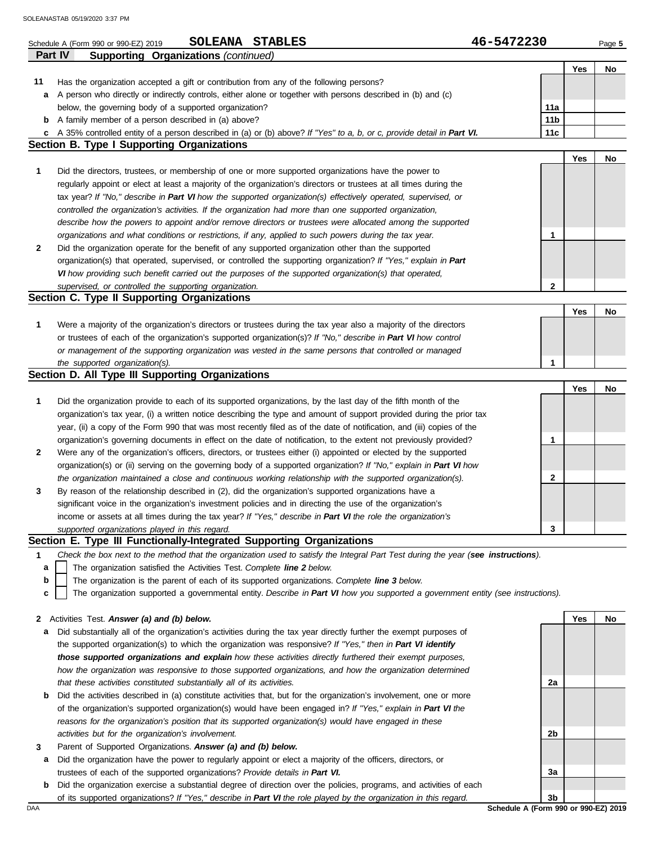|         | SOLEANA STABLES<br>Schedule A (Form 990 or 990-EZ) 2019                                                                           | 46-5472230      |     | Page 5 |
|---------|-----------------------------------------------------------------------------------------------------------------------------------|-----------------|-----|--------|
| Part IV | <b>Supporting Organizations (continued)</b>                                                                                       |                 |     |        |
|         |                                                                                                                                   |                 | Yes | No     |
| 11      | Has the organization accepted a gift or contribution from any of the following persons?                                           |                 |     |        |
| a       | A person who directly or indirectly controls, either alone or together with persons described in (b) and (c)                      |                 |     |        |
|         | below, the governing body of a supported organization?                                                                            | 11a             |     |        |
| b       | A family member of a person described in (a) above?                                                                               | 11 <sub>b</sub> |     |        |
| c       | A 35% controlled entity of a person described in (a) or (b) above? If "Yes" to a, b, or c, provide detail in Part VI.             | 11 <sub>c</sub> |     |        |
|         | <b>Section B. Type I Supporting Organizations</b>                                                                                 |                 |     |        |
|         |                                                                                                                                   |                 | Yes | No     |
| 1       | Did the directors, trustees, or membership of one or more supported organizations have the power to                               |                 |     |        |
|         | regularly appoint or elect at least a majority of the organization's directors or trustees at all times during the                |                 |     |        |
|         | tax year? If "No," describe in Part VI how the supported organization(s) effectively operated, supervised, or                     |                 |     |        |
|         | controlled the organization's activities. If the organization had more than one supported organization,                           |                 |     |        |
|         | describe how the powers to appoint and/or remove directors or trustees were allocated among the supported                         |                 |     |        |
|         | organizations and what conditions or restrictions, if any, applied to such powers during the tax year.                            | 1               |     |        |
| 2       | Did the organization operate for the benefit of any supported organization other than the supported                               |                 |     |        |
|         | organization(s) that operated, supervised, or controlled the supporting organization? If "Yes," explain in Part                   |                 |     |        |
|         | VI how providing such benefit carried out the purposes of the supported organization(s) that operated,                            |                 |     |        |
|         | supervised, or controlled the supporting organization.                                                                            | $\mathbf{2}$    |     |        |
|         | Section C. Type II Supporting Organizations                                                                                       |                 |     |        |
|         |                                                                                                                                   |                 | Yes | No     |
| 1       | Were a majority of the organization's directors or trustees during the tax year also a majority of the directors                  |                 |     |        |
|         | or trustees of each of the organization's supported organization(s)? If "No," describe in Part VI how control                     |                 |     |        |
|         | or management of the supporting organization was vested in the same persons that controlled or managed                            |                 |     |        |
|         | the supported organization(s).                                                                                                    | 1               |     |        |
|         | Section D. All Type III Supporting Organizations                                                                                  |                 |     |        |
|         |                                                                                                                                   |                 | Yes | No     |
| 1       | Did the organization provide to each of its supported organizations, by the last day of the fifth month of the                    |                 |     |        |
|         | organization's tax year, (i) a written notice describing the type and amount of support provided during the prior tax             |                 |     |        |
|         | year, (ii) a copy of the Form 990 that was most recently filed as of the date of notification, and (iii) copies of the            |                 |     |        |
|         | organization's governing documents in effect on the date of notification, to the extent not previously provided?                  | 1               |     |        |
| 2       | Were any of the organization's officers, directors, or trustees either (i) appointed or elected by the supported                  |                 |     |        |
|         | organization(s) or (ii) serving on the governing body of a supported organization? If "No," explain in Part VI how                |                 |     |        |
|         | the organization maintained a close and continuous working relationship with the supported organization(s).                       | 2               |     |        |
| 3       | By reason of the relationship described in (2), did the organization's supported organizations have a                             |                 |     |        |
|         | significant voice in the organization's investment policies and in directing the use of the organization's                        |                 |     |        |
|         | income or assets at all times during the tax year? If "Yes," describe in Part VI the role the organization's                      |                 |     |        |
|         | supported organizations played in this regard.                                                                                    | 3               |     |        |
|         | Section E. Type III Functionally-Integrated Supporting Organizations                                                              |                 |     |        |
| 1       | Check the box next to the method that the organization used to satisfy the Integral Part Test during the year (see instructions). |                 |     |        |
| a       | The organization satisfied the Activities Test. Complete line 2 below.                                                            |                 |     |        |
| b       | The organization is the parent of each of its supported organizations. Complete line 3 below.                                     |                 |     |        |
| C       | The organization supported a governmental entity. Describe in Part VI how you supported a government entity (see instructions).   |                 |     |        |
|         |                                                                                                                                   |                 |     |        |
| 2       | Activities Test. Answer (a) and (b) below.                                                                                        |                 | Yes | No     |
| а       | Did substantially all of the organization's activities during the tax year directly further the exempt purposes of                |                 |     |        |
|         | the supported organization(s) to which the organization was responsive? If "Yes," then in Part VI identify                        |                 |     |        |
|         | those supported organizations and explain how these activities directly furthered their exempt purposes,                          |                 |     |        |
|         | how the organization was responsive to those supported organizations, and how the organization determined                         |                 |     |        |
|         | that these activities constituted substantially all of its activities.                                                            | 2a              |     |        |
| b       | Did the activities described in (a) constitute activities that, but for the organization's involvement, one or more               |                 |     |        |
|         | of the organization's supported organization(s) would have been engaged in? If "Yes," explain in Part VI the                      |                 |     |        |
|         |                                                                                                                                   |                 |     |        |
|         | reasons for the organization's position that its supported organization(s) would have engaged in these                            |                 |     |        |
|         | activities but for the organization's involvement.<br>Parent of Supported Organizations Answer (a) and (b) below                  | 2b              |     |        |

- **3** Parent of Supported Organizations. *Answer (a) and (b) below.*
- **a** Did the organization have the power to regularly appoint or elect a majority of the officers, directors, or trustees of each of the supported organizations? *Provide details in Part VI.*
- **b** Did the organization exercise a substantial degree of direction over the policies, programs, and activities of each of its supported organizations? *If "Yes," describe in Part VI the role played by the organization in this regard.*

DAA **Schedule A (Form 990 or 990-EZ) 2019 3b**

**3a**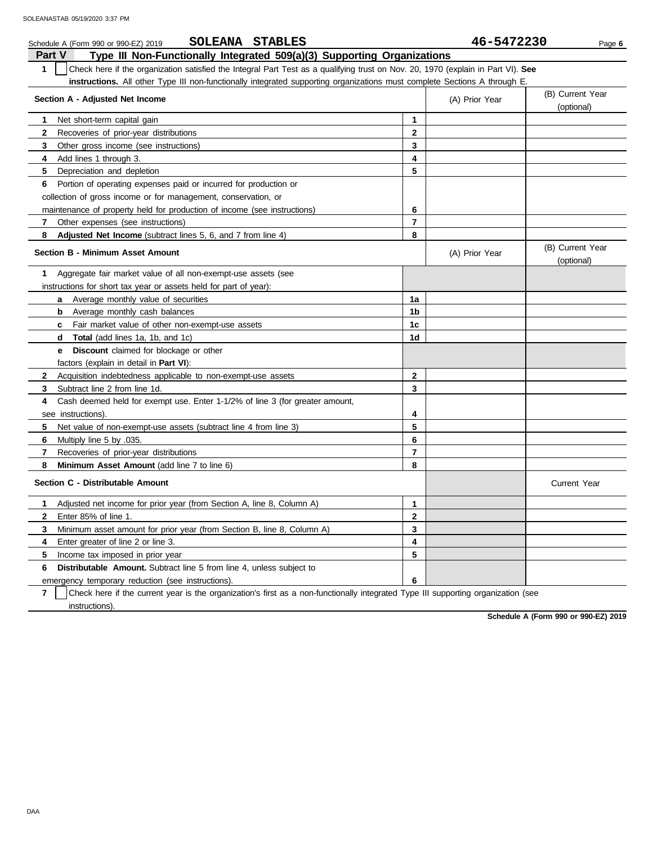| <b>SOLEANA</b><br><b>STABLES</b><br>Schedule A (Form 990 or 990-EZ) 2019                                                                         |                | 46-5472230     | Page 6                         |
|--------------------------------------------------------------------------------------------------------------------------------------------------|----------------|----------------|--------------------------------|
| <b>Part V</b><br>Type III Non-Functionally Integrated 509(a)(3) Supporting Organizations                                                         |                |                |                                |
| Check here if the organization satisfied the Integral Part Test as a qualifying trust on Nov. 20, 1970 (explain in Part VI). See<br>$\mathbf{1}$ |                |                |                                |
| <b>instructions.</b> All other Type III non-functionally integrated supporting organizations must complete Sections A through E.                 |                |                |                                |
| Section A - Adjusted Net Income                                                                                                                  |                | (A) Prior Year | (B) Current Year<br>(optional) |
| Net short-term capital gain<br>1.                                                                                                                | 1              |                |                                |
| $\mathbf{2}$<br>Recoveries of prior-year distributions                                                                                           | $\overline{2}$ |                |                                |
| Other gross income (see instructions)<br>3                                                                                                       | 3              |                |                                |
| 4<br>Add lines 1 through 3.                                                                                                                      | 4              |                |                                |
| 5<br>Depreciation and depletion                                                                                                                  | 5              |                |                                |
| Portion of operating expenses paid or incurred for production or<br>6                                                                            |                |                |                                |
| collection of gross income or for management, conservation, or                                                                                   |                |                |                                |
| maintenance of property held for production of income (see instructions)                                                                         | 6              |                |                                |
| 7<br>Other expenses (see instructions)                                                                                                           | $\overline{7}$ |                |                                |
| Adjusted Net Income (subtract lines 5, 6, and 7 from line 4)<br>8                                                                                | 8              |                |                                |
| <b>Section B - Minimum Asset Amount</b>                                                                                                          |                | (A) Prior Year | (B) Current Year<br>(optional) |
| Aggregate fair market value of all non-exempt-use assets (see<br>1                                                                               |                |                |                                |
| instructions for short tax year or assets held for part of year):                                                                                |                |                |                                |
| Average monthly value of securities<br>a                                                                                                         | 1a             |                |                                |
| Average monthly cash balances<br>b                                                                                                               | 1 <sub>b</sub> |                |                                |
| Fair market value of other non-exempt-use assets<br>c                                                                                            | 1 <sub>c</sub> |                |                                |
| <b>Total</b> (add lines 1a, 1b, and 1c)<br>d                                                                                                     | 1d             |                |                                |
| <b>Discount</b> claimed for blockage or other<br>е                                                                                               |                |                |                                |
| factors (explain in detail in <b>Part VI)</b> :                                                                                                  |                |                |                                |
| $\mathbf{2}$<br>Acquisition indebtedness applicable to non-exempt-use assets                                                                     | $\mathbf{2}$   |                |                                |
| Subtract line 2 from line 1d.<br>3                                                                                                               | 3              |                |                                |
| Cash deemed held for exempt use. Enter 1-1/2% of line 3 (for greater amount,<br>4                                                                |                |                |                                |
| see instructions)                                                                                                                                | 4              |                |                                |
| 5<br>Net value of non-exempt-use assets (subtract line 4 from line 3)                                                                            | 5              |                |                                |
| 6<br>Multiply line 5 by .035.                                                                                                                    | 6              |                |                                |
| 7<br>Recoveries of prior-year distributions                                                                                                      | $\overline{7}$ |                |                                |
| 8<br><b>Minimum Asset Amount</b> (add line 7 to line 6)                                                                                          | 8              |                |                                |
| Section C - Distributable Amount                                                                                                                 |                |                | <b>Current Year</b>            |
| Adjusted net income for prior year (from Section A, line 8, Column A)<br>1                                                                       | 1              |                |                                |
| Enter 85% of line 1.<br>$\mathbf{2}$                                                                                                             | $\mathbf{2}$   |                |                                |
| 3<br>Minimum asset amount for prior year (from Section B, line 8, Column A)                                                                      | 3              |                |                                |

**6 Distributable Amount.** Subtract line 5 from line 4, unless subject to **5** Income tax imposed in prior year **4** Enter greater of line 2 or line 3.

emergency temporary reduction (see instructions).

**7** instructions). Check here if the current year is the organization's first as a non-functionally integrated Type III supporting organization (see

**6**

**5 4**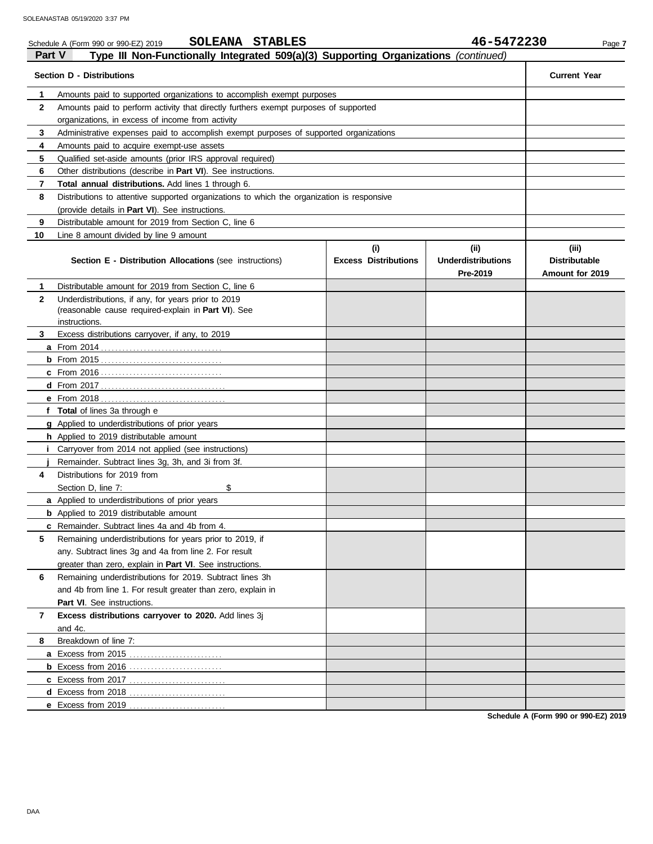|               | SOLEANA STABLES<br>Schedule A (Form 990 or 990-EZ) 2019                                    |                             | 46-5472230                            | Page 7                                  |  |  |  |  |  |  |
|---------------|--------------------------------------------------------------------------------------------|-----------------------------|---------------------------------------|-----------------------------------------|--|--|--|--|--|--|
| <b>Part V</b> | Type III Non-Functionally Integrated 509(a)(3) Supporting Organizations (continued)        |                             |                                       |                                         |  |  |  |  |  |  |
|               | <b>Section D - Distributions</b>                                                           |                             |                                       | <b>Current Year</b>                     |  |  |  |  |  |  |
| 1             | Amounts paid to supported organizations to accomplish exempt purposes                      |                             |                                       |                                         |  |  |  |  |  |  |
| $\mathbf{2}$  | Amounts paid to perform activity that directly furthers exempt purposes of supported       |                             |                                       |                                         |  |  |  |  |  |  |
|               | organizations, in excess of income from activity                                           |                             |                                       |                                         |  |  |  |  |  |  |
| 3             | Administrative expenses paid to accomplish exempt purposes of supported organizations      |                             |                                       |                                         |  |  |  |  |  |  |
| 4             | Amounts paid to acquire exempt-use assets                                                  |                             |                                       |                                         |  |  |  |  |  |  |
| 5             | Qualified set-aside amounts (prior IRS approval required)                                  |                             |                                       |                                         |  |  |  |  |  |  |
| 6             | Other distributions (describe in Part VI). See instructions.                               |                             |                                       |                                         |  |  |  |  |  |  |
| 7             | Total annual distributions. Add lines 1 through 6.                                         |                             |                                       |                                         |  |  |  |  |  |  |
| 8             | Distributions to attentive supported organizations to which the organization is responsive |                             |                                       |                                         |  |  |  |  |  |  |
|               | (provide details in Part VI). See instructions.                                            |                             |                                       |                                         |  |  |  |  |  |  |
| 9             | Distributable amount for 2019 from Section C, line 6                                       |                             |                                       |                                         |  |  |  |  |  |  |
| 10            | Line 8 amount divided by line 9 amount                                                     |                             |                                       |                                         |  |  |  |  |  |  |
|               |                                                                                            | (i)                         | (ii)                                  | (iii)                                   |  |  |  |  |  |  |
|               | <b>Section E - Distribution Allocations (see instructions)</b>                             | <b>Excess Distributions</b> | <b>Underdistributions</b><br>Pre-2019 | <b>Distributable</b><br>Amount for 2019 |  |  |  |  |  |  |
| 1             | Distributable amount for 2019 from Section C, line 6                                       |                             |                                       |                                         |  |  |  |  |  |  |
| $\mathbf{2}$  | Underdistributions, if any, for years prior to 2019                                        |                             |                                       |                                         |  |  |  |  |  |  |
|               | (reasonable cause required-explain in Part VI). See                                        |                             |                                       |                                         |  |  |  |  |  |  |
|               | instructions.                                                                              |                             |                                       |                                         |  |  |  |  |  |  |
| 3             | Excess distributions carryover, if any, to 2019                                            |                             |                                       |                                         |  |  |  |  |  |  |
|               |                                                                                            |                             |                                       |                                         |  |  |  |  |  |  |
|               |                                                                                            |                             |                                       |                                         |  |  |  |  |  |  |
|               |                                                                                            |                             |                                       |                                         |  |  |  |  |  |  |
|               |                                                                                            |                             |                                       |                                         |  |  |  |  |  |  |
|               |                                                                                            |                             |                                       |                                         |  |  |  |  |  |  |
|               | f Total of lines 3a through e                                                              |                             |                                       |                                         |  |  |  |  |  |  |
|               | <b>g</b> Applied to underdistributions of prior years                                      |                             |                                       |                                         |  |  |  |  |  |  |
|               | h Applied to 2019 distributable amount                                                     |                             |                                       |                                         |  |  |  |  |  |  |
|               | <i>i</i> Carryover from 2014 not applied (see instructions)                                |                             |                                       |                                         |  |  |  |  |  |  |
|               | Remainder. Subtract lines 3g, 3h, and 3i from 3f.                                          |                             |                                       |                                         |  |  |  |  |  |  |
| 4             | Distributions for 2019 from                                                                |                             |                                       |                                         |  |  |  |  |  |  |
|               | \$<br>Section D, line 7:                                                                   |                             |                                       |                                         |  |  |  |  |  |  |
|               | <b>a</b> Applied to underdistributions of prior years                                      |                             |                                       |                                         |  |  |  |  |  |  |
|               | <b>b</b> Applied to 2019 distributable amount                                              |                             |                                       |                                         |  |  |  |  |  |  |
|               | <b>c</b> Remainder. Subtract lines 4a and 4b from 4.                                       |                             |                                       |                                         |  |  |  |  |  |  |
| 5             | Remaining underdistributions for years prior to 2019, if                                   |                             |                                       |                                         |  |  |  |  |  |  |
|               | any. Subtract lines 3g and 4a from line 2. For result                                      |                             |                                       |                                         |  |  |  |  |  |  |
|               | greater than zero, explain in Part VI. See instructions.                                   |                             |                                       |                                         |  |  |  |  |  |  |
| 6             | Remaining underdistributions for 2019. Subtract lines 3h                                   |                             |                                       |                                         |  |  |  |  |  |  |
|               | and 4b from line 1. For result greater than zero, explain in                               |                             |                                       |                                         |  |  |  |  |  |  |
|               | <b>Part VI.</b> See instructions.                                                          |                             |                                       |                                         |  |  |  |  |  |  |
| 7             | Excess distributions carryover to 2020. Add lines 3j                                       |                             |                                       |                                         |  |  |  |  |  |  |
|               | and 4c.                                                                                    |                             |                                       |                                         |  |  |  |  |  |  |
| 8             | Breakdown of line 7:                                                                       |                             |                                       |                                         |  |  |  |  |  |  |
|               |                                                                                            |                             |                                       |                                         |  |  |  |  |  |  |
|               |                                                                                            |                             |                                       |                                         |  |  |  |  |  |  |
|               |                                                                                            |                             |                                       |                                         |  |  |  |  |  |  |
|               |                                                                                            |                             |                                       |                                         |  |  |  |  |  |  |
|               | e Excess from 2019                                                                         |                             |                                       |                                         |  |  |  |  |  |  |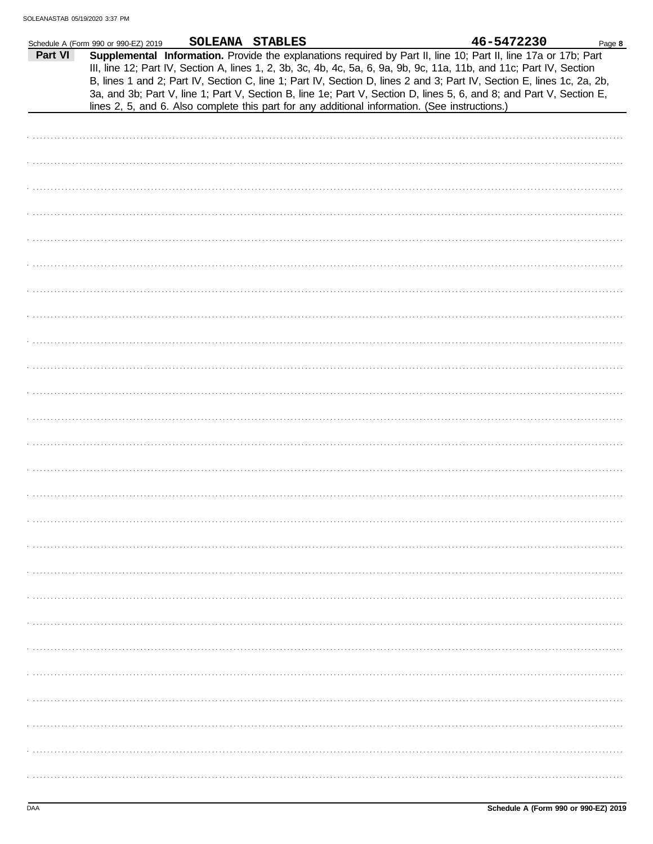|         | Schedule A (Form 990 or 990-EZ) 2019 | SOLEANA STABLES |                                                                                                                                                                                                                                                                                                                                                                                                                                                                                                                                                                                             | 46-5472230 | Page 8 |
|---------|--------------------------------------|-----------------|---------------------------------------------------------------------------------------------------------------------------------------------------------------------------------------------------------------------------------------------------------------------------------------------------------------------------------------------------------------------------------------------------------------------------------------------------------------------------------------------------------------------------------------------------------------------------------------------|------------|--------|
| Part VI |                                      |                 | Supplemental Information. Provide the explanations required by Part II, line 10; Part II, line 17a or 17b; Part<br>III, line 12; Part IV, Section A, lines 1, 2, 3b, 3c, 4b, 4c, 5a, 6, 9a, 9b, 9c, 11a, 11b, and 11c; Part IV, Section<br>B, lines 1 and 2; Part IV, Section C, line 1; Part IV, Section D, lines 2 and 3; Part IV, Section E, lines 1c, 2a, 2b,<br>3a, and 3b; Part V, line 1; Part V, Section B, line 1e; Part V, Section D, lines 5, 6, and 8; and Part V, Section E,<br>lines 2, 5, and 6. Also complete this part for any additional information. (See instructions.) |            |        |
|         |                                      |                 |                                                                                                                                                                                                                                                                                                                                                                                                                                                                                                                                                                                             |            |        |
|         |                                      |                 |                                                                                                                                                                                                                                                                                                                                                                                                                                                                                                                                                                                             |            |        |
|         |                                      |                 |                                                                                                                                                                                                                                                                                                                                                                                                                                                                                                                                                                                             |            |        |
|         |                                      |                 |                                                                                                                                                                                                                                                                                                                                                                                                                                                                                                                                                                                             |            |        |
|         |                                      |                 |                                                                                                                                                                                                                                                                                                                                                                                                                                                                                                                                                                                             |            |        |
|         |                                      |                 |                                                                                                                                                                                                                                                                                                                                                                                                                                                                                                                                                                                             |            |        |
|         |                                      |                 |                                                                                                                                                                                                                                                                                                                                                                                                                                                                                                                                                                                             |            |        |
|         |                                      |                 |                                                                                                                                                                                                                                                                                                                                                                                                                                                                                                                                                                                             |            |        |
|         |                                      |                 |                                                                                                                                                                                                                                                                                                                                                                                                                                                                                                                                                                                             |            |        |
|         |                                      |                 |                                                                                                                                                                                                                                                                                                                                                                                                                                                                                                                                                                                             |            |        |
|         |                                      |                 |                                                                                                                                                                                                                                                                                                                                                                                                                                                                                                                                                                                             |            |        |
|         |                                      |                 |                                                                                                                                                                                                                                                                                                                                                                                                                                                                                                                                                                                             |            |        |
|         |                                      |                 |                                                                                                                                                                                                                                                                                                                                                                                                                                                                                                                                                                                             |            |        |
|         |                                      |                 |                                                                                                                                                                                                                                                                                                                                                                                                                                                                                                                                                                                             |            |        |
|         |                                      |                 |                                                                                                                                                                                                                                                                                                                                                                                                                                                                                                                                                                                             |            |        |
|         |                                      |                 |                                                                                                                                                                                                                                                                                                                                                                                                                                                                                                                                                                                             |            |        |
|         |                                      |                 |                                                                                                                                                                                                                                                                                                                                                                                                                                                                                                                                                                                             |            |        |
|         |                                      |                 |                                                                                                                                                                                                                                                                                                                                                                                                                                                                                                                                                                                             |            |        |
|         |                                      |                 |                                                                                                                                                                                                                                                                                                                                                                                                                                                                                                                                                                                             |            |        |
|         |                                      |                 |                                                                                                                                                                                                                                                                                                                                                                                                                                                                                                                                                                                             |            |        |
|         |                                      |                 |                                                                                                                                                                                                                                                                                                                                                                                                                                                                                                                                                                                             |            |        |
|         |                                      |                 |                                                                                                                                                                                                                                                                                                                                                                                                                                                                                                                                                                                             |            |        |
|         |                                      |                 |                                                                                                                                                                                                                                                                                                                                                                                                                                                                                                                                                                                             |            |        |
|         |                                      |                 |                                                                                                                                                                                                                                                                                                                                                                                                                                                                                                                                                                                             |            |        |
|         |                                      |                 |                                                                                                                                                                                                                                                                                                                                                                                                                                                                                                                                                                                             |            |        |
|         |                                      |                 |                                                                                                                                                                                                                                                                                                                                                                                                                                                                                                                                                                                             |            |        |
|         |                                      |                 |                                                                                                                                                                                                                                                                                                                                                                                                                                                                                                                                                                                             |            |        |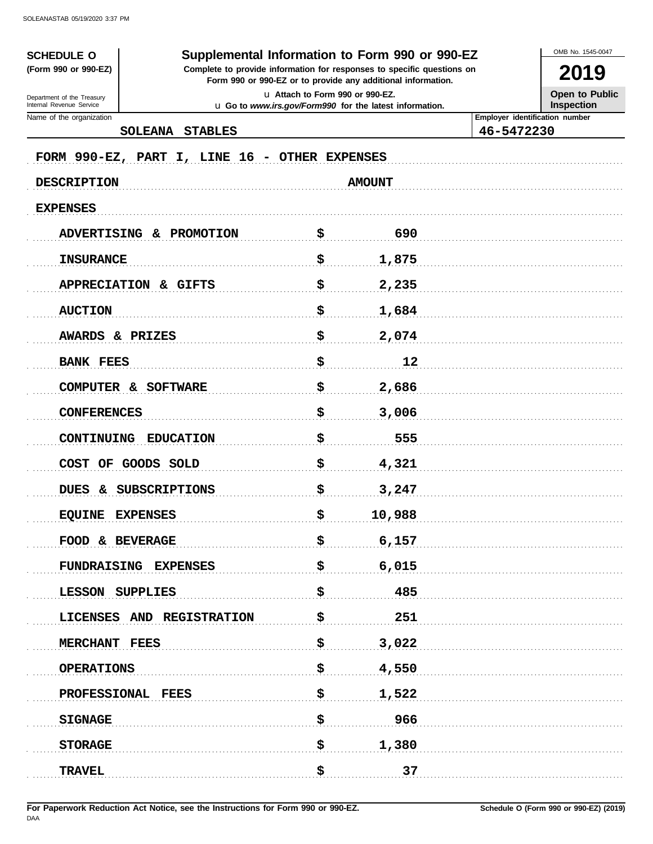### OMB No. 1545-0047 **SCHEDULE O** Supplemental Information to Form 990 or 990-EZ (Form 990 or 990-EZ) Complete to provide information for responses to specific questions on 2019 Form 990 or 990-EZ or to provide any additional information. u Attach to Form 990 or 990-EZ. Open to Public Department of the Treasury<br>Internal Revenue Service u Go to www.irs.gov/Form990 for the latest information. Inspection Name of the organization Employer identification number 46-5472230 **SOLEANA STABLES** FORM 990-EZ, PART I, LINE 16 - OTHER EXPENSES **DESCRIPTION AMOUNT EXPENSES** 690  $\boldsymbol{\mathsf{S}}$ ADVERTISING & PROMOTION  $\boldsymbol{\mathsf{S}}$ **INSURANCE** 1,875  $\boldsymbol{\xi}$ APPRECIATION & GIFTS 2,235  $\sharp$ 1,684 **AUCTION**  $\mathfrak{S}$  and  $\mathfrak{S}$ AWARDS & PRIZES 2,074  $\mathsf{S}$  and the state  $\mathsf{S}$  $12$ **BANK FEES**  $\boldsymbol{\mathsf{S}}$ 2,686 COMPUTER & SOFTWARE  $\sharp$ **CONFERENCES** 3,006  $\boldsymbol{\mathsf{S}}$ 555 CONTINUING EDUCATION  $\boldsymbol{\dot{S}}$ COST OF GOODS SOLD 4,321  $$3,247$ DUES & SUBSCRIPTIONS  $\color{red} \clubsuit$ **EQUINE EXPENSES** 10,988 <u>. 이 대표 대표 대표 대표 및 대표 대표 대표 및 대표 대표 및 대표 대표 및 대표 및 대표</u> FOOD & BEVERAGE  $6,157$  $\sharp$ FUNDRAISING EXPENSES 6,015  $\boldsymbol{\mathsf{S}}$ LESSON SUPPLIES 485 Ś 251 LICENSES AND REGISTRATION  $\sharp$ MERCHANT FEES  $3,022$ 4,550 **OPERATIONS**  $\mathbf{\dot{s}}$ PROFESSIONAL FEES 1,522  $\frac{1}{2}$ 966 **SIGNAGE**  $\boldsymbol{\mathsf{S}}$ **STORAGE** 1,380 \$ **TRAVEL** 37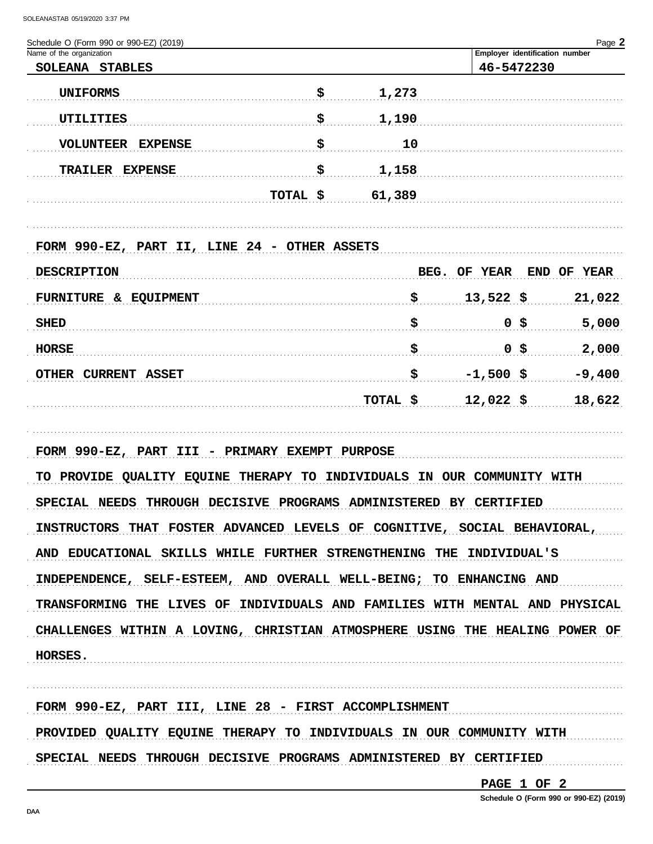| Schedule O (Form 990 or 990-EZ) (2019)<br>Name of the organization                                                                              |                                  |                     |                                                 | Page 2<br>Employer identification number |
|-------------------------------------------------------------------------------------------------------------------------------------------------|----------------------------------|---------------------|-------------------------------------------------|------------------------------------------|
| SOLEANA STABLES                                                                                                                                 |                                  |                     |                                                 | 46-5472230                               |
| <b>UNIFORMS</b>                                                                                                                                 | \$                               | 1,273               |                                                 |                                          |
| UTILITIES                                                                                                                                       | \$                               | 1,190               |                                                 |                                          |
| <b>VOLUNTEER</b><br><b>EXPENSE</b>                                                                                                              | \$                               | 10                  |                                                 |                                          |
| <b>TRAILER EXPENSE</b>                                                                                                                          | \$                               | 1,158               |                                                 |                                          |
|                                                                                                                                                 | TOTAL \$                         | 61,389              |                                                 |                                          |
| FORM 990-EZ, PART II, LINE 24 - OTHER ASSETS                                                                                                    |                                  |                     |                                                 |                                          |
| <b>DESCRIPTION</b>                                                                                                                              |                                  | BEG.                | OF<br><b>YEAR</b>                               | END.<br>OF YEAR                          |
| FURNITURE & EQUIPMENT                                                                                                                           |                                  | \$                  | $13,522$ \$                                     | 21,022                                   |
| <b>SHED</b>                                                                                                                                     |                                  | \$                  |                                                 | 0 \$<br>5,000                            |
| <b>HORSE</b>                                                                                                                                    |                                  | \$                  |                                                 | 0 \$<br>2,000                            |
| <b>CURRENT</b><br>ASSET<br>OTHER                                                                                                                |                                  | \$                  | $-1,500$ \$                                     | $-9,400$                                 |
|                                                                                                                                                 |                                  | TOTAL \$            | $12,022$ \$                                     | 18,622                                   |
|                                                                                                                                                 |                                  |                     |                                                 |                                          |
| FORM 990-EZ, PART<br>III                                                                                                                        | <b>- PRIMARY EXEMPT PURPOSE</b>  | <b>INDIVIDUALS</b>  |                                                 |                                          |
| TO PROVIDE QUALITY EQUINE<br>SPECIAL NEEDS<br>THROUGH DECISIVE                                                                                  | <b>THERAPY</b><br>TO<br>PROGRAMS | <b>ADMINISTERED</b> | IN OUR COMMUNITY WITH<br>BY<br><b>CERTIFIED</b> |                                          |
|                                                                                                                                                 |                                  |                     |                                                 |                                          |
| INSTRUCTORS THAT FOSTER ADVANCED LEVELS OF COGNITIVE, SOCIAL BEHAVIORAL,<br>AND EDUCATIONAL SKILLS WHILE FURTHER STRENGTHENING THE INDIVIDUAL'S |                                  |                     |                                                 |                                          |
| INDEPENDENCE, SELF-ESTEEM, AND OVERALL WELL-BEING; TO ENHANCING AND                                                                             |                                  |                     |                                                 |                                          |
| TRANSFORMING THE LIVES OF INDIVIDUALS AND FAMILIES WITH MENTAL AND PHYSICAL                                                                     |                                  |                     |                                                 |                                          |
| CHALLENGES WITHIN A LOVING, CHRISTIAN ATMOSPHERE USING THE HEALING POWER OF                                                                     |                                  |                     |                                                 |                                          |
| HORSES.                                                                                                                                         |                                  |                     |                                                 |                                          |
|                                                                                                                                                 |                                  |                     |                                                 |                                          |
| FORM 990-EZ, PART III, LINE 28 - FIRST ACCOMPLISHMENT                                                                                           |                                  |                     |                                                 |                                          |
| PROVIDED QUALITY EQUINE THERAPY TO INDIVIDUALS IN OUR COMMUNITY WITH                                                                            |                                  |                     |                                                 |                                          |
| SPECIAL NEEDS THROUGH DECISIVE PROGRAMS ADMINISTERED BY CERTIFIED                                                                               |                                  |                     |                                                 |                                          |
|                                                                                                                                                 |                                  |                     |                                                 |                                          |

PAGE 1 OF 2

Schedule O (Form 990 or 990-EZ) (2019)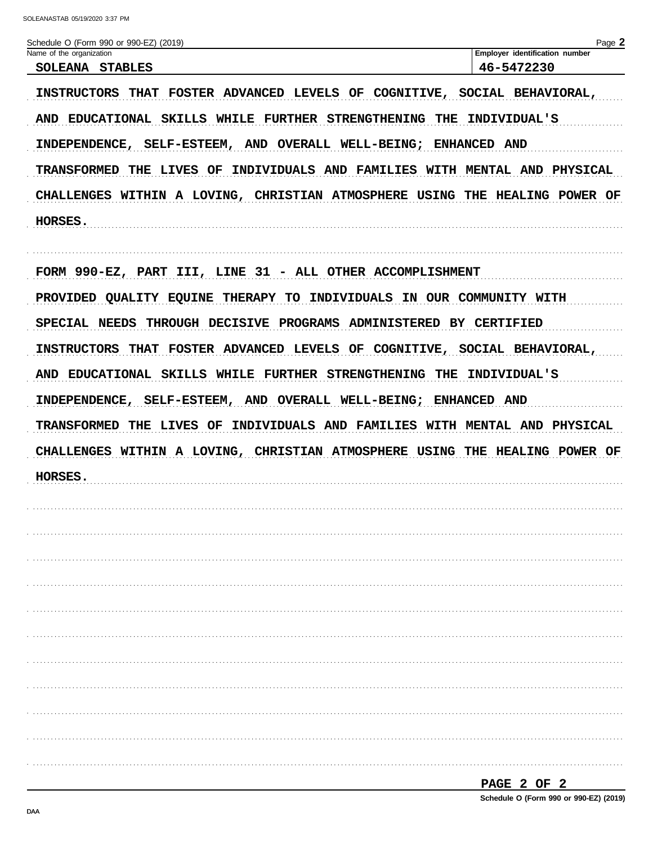| Schedule O (Form 990 or 990-EZ) (2019)                                             | Page 2                                       |
|------------------------------------------------------------------------------------|----------------------------------------------|
| Name of the organization<br>SOLEANA STABLES                                        | Employer identification number<br>46-5472230 |
|                                                                                    |                                              |
| FOSTER ADVANCED LEVELS OF COGNITIVE, SOCIAL BEHAVIORAL,<br><b>INSTRUCTORS THAT</b> |                                              |
| AND EDUCATIONAL SKILLS WHILE FURTHER STRENGTHENING THE INDIVIDUAL'S                |                                              |
| INDEPENDENCE, SELF-ESTEEM, AND OVERALL WELL-BEING; ENHANCED AND                    |                                              |
| TRANSFORMED THE LIVES OF INDIVIDUALS AND FAMILIES WITH MENTAL AND PHYSICAL         |                                              |
| CHALLENGES WITHIN A LOVING, CHRISTIAN ATMOSPHERE USING THE HEALING POWER OF        |                                              |
| HORSES.                                                                            |                                              |
|                                                                                    |                                              |
| FORM 990-EZ, PART III, LINE 31 - ALL OTHER ACCOMPLISHMENT                          |                                              |
| PROVIDED QUALITY EQUINE THERAPY TO INDIVIDUALS IN OUR COMMUNITY WITH               |                                              |
| SPECIAL NEEDS<br>THROUGH DECISIVE PROGRAMS ADMINISTERED BY CERTIFIED               |                                              |
| INSTRUCTORS THAT FOSTER ADVANCED LEVELS OF COGNITIVE, SOCIAL BEHAVIORAL,           |                                              |
| AND EDUCATIONAL SKILLS WHILE FURTHER STRENGTHENING THE INDIVIDUAL'S                |                                              |
| INDEPENDENCE, SELF-ESTEEM, AND OVERALL WELL-BEING; ENHANCED AND                    |                                              |
| TRANSFORMED THE LIVES OF INDIVIDUALS AND FAMILIES WITH MENTAL AND PHYSICAL         |                                              |
| CHALLENGES WITHIN A LOVING, CHRISTIAN ATMOSPHERE USING THE HEALING POWER OF        |                                              |
| HORSES.                                                                            |                                              |
|                                                                                    |                                              |
|                                                                                    |                                              |
|                                                                                    |                                              |
|                                                                                    |                                              |
|                                                                                    |                                              |
|                                                                                    |                                              |
|                                                                                    |                                              |
|                                                                                    |                                              |
|                                                                                    |                                              |
|                                                                                    |                                              |
|                                                                                    |                                              |
|                                                                                    |                                              |

| PAGE 2 OF 2 |  |                                        |
|-------------|--|----------------------------------------|
|             |  | Schedule O (Form 990 or 990-EZ) (2019) |

DAA